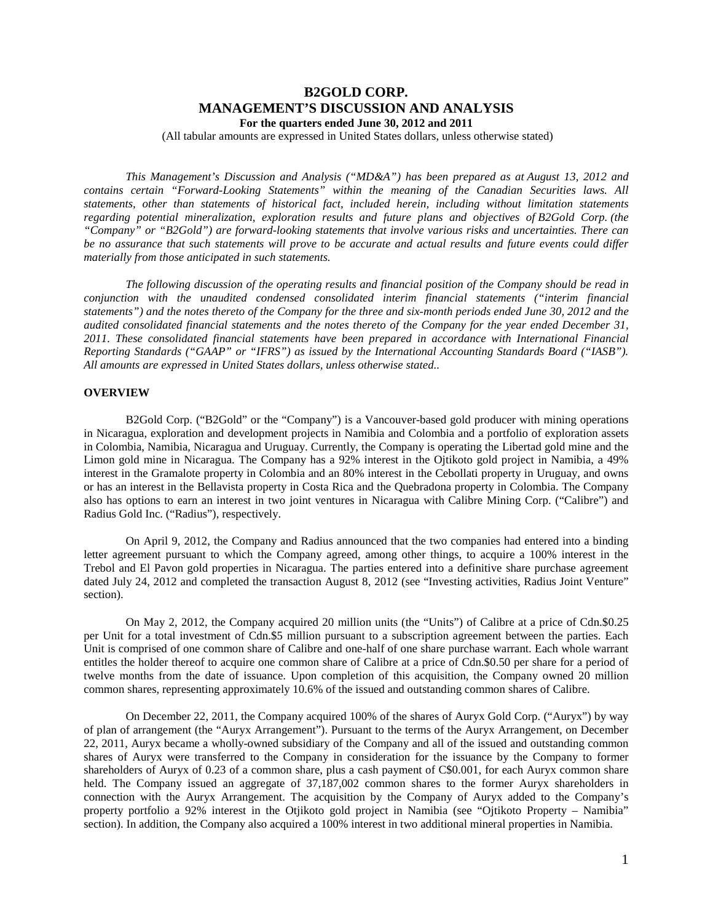# **B2GOLD CORP. MANAGEMENT'S DISCUSSION AND ANALYSIS For the quarters ended June 30, 2012 and 2011**

(All tabular amounts are expressed in United States dollars, unless otherwise stated)

*This Management's Discussion and Analysis ("MD&A") has been prepared as at August 13, 2012 and contains certain "Forward-Looking Statements" within the meaning of the Canadian Securities laws. All statements, other than statements of historical fact, included herein, including without limitation statements regarding potential mineralization, exploration results and future plans and objectives of B2Gold Corp. (the "Company" or "B2Gold") are forward-looking statements that involve various risks and uncertainties. There can be no assurance that such statements will prove to be accurate and actual results and future events could differ materially from those anticipated in such statements.*

*The following discussion of the operating results and financial position of the Company should be read in conjunction with the unaudited condensed consolidated interim financial statements ("interim financial statements") and the notes thereto of the Company for the three and six-month periods ended June 30, 2012 and the audited consolidated financial statements and the notes thereto of the Company for the year ended December 31, 2011. These consolidated financial statements have been prepared in accordance with International Financial Reporting Standards ("GAAP" or "IFRS") as issued by the International Accounting Standards Board ("IASB"). All amounts are expressed in United States dollars, unless otherwise stated..*

## **OVERVIEW**

B2Gold Corp. ("B2Gold" or the "Company") is a Vancouver-based gold producer with mining operations in Nicaragua, exploration and development projects in Namibia and Colombia and a portfolio of exploration assets in Colombia, Namibia, Nicaragua and Uruguay. Currently, the Company is operating the Libertad gold mine and the Limon gold mine in Nicaragua. The Company has a 92% interest in the Ojtikoto gold project in Namibia, a 49% interest in the Gramalote property in Colombia and an 80% interest in the Cebollati property in Uruguay, and owns or has an interest in the Bellavista property in Costa Rica and the Quebradona property in Colombia. The Company also has options to earn an interest in two joint ventures in Nicaragua with Calibre Mining Corp. ("Calibre") and Radius Gold Inc. ("Radius"), respectively.

On April 9, 2012, the Company and Radius announced that the two companies had entered into a binding letter agreement pursuant to which the Company agreed, among other things, to acquire a 100% interest in the Trebol and El Pavon gold properties in Nicaragua. The parties entered into a definitive share purchase agreement dated July 24, 2012 and completed the transaction August 8, 2012 (see "Investing activities, Radius Joint Venture" section).

On May 2, 2012, the Company acquired 20 million units (the "Units") of Calibre at a price of Cdn.\$0.25 per Unit for a total investment of Cdn.\$5 million pursuant to a subscription agreement between the parties. Each Unit is comprised of one common share of Calibre and one-half of one share purchase warrant. Each whole warrant entitles the holder thereof to acquire one common share of Calibre at a price of Cdn.\$0.50 per share for a period of twelve months from the date of issuance. Upon completion of this acquisition, the Company owned 20 million common shares, representing approximately 10.6% of the issued and outstanding common shares of Calibre.

On December 22, 2011, the Company acquired 100% of the shares of Auryx Gold Corp. ("Auryx") by way of plan of arrangement (the "Auryx Arrangement"). Pursuant to the terms of the Auryx Arrangement, on December 22, 2011, Auryx became a wholly-owned subsidiary of the Company and all of the issued and outstanding common shares of Auryx were transferred to the Company in consideration for the issuance by the Company to former shareholders of Auryx of 0.23 of a common share, plus a cash payment of C\$0.001, for each Auryx common share held. The Company issued an aggregate of  $37,187,002$  common shares to the former Auryx shareholders in connection with the Auryx Arrangement. The acquisition by the Company of Auryx added to the Company's property portfolio a 92% interest in the Otjikoto gold project in Namibia (see "Ojtikoto Property – Namibia" section). In addition, the Company also acquired a 100% interest in two additional mineral properties in Namibia.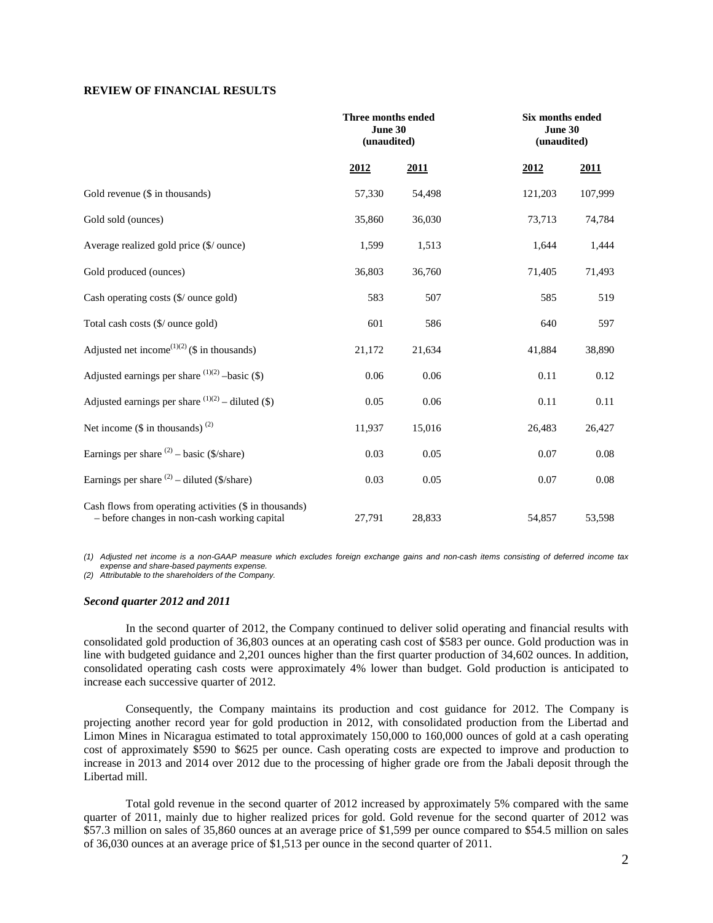# **REVIEW OF FINANCIAL RESULTS**

|                                                                                                        |        | Three months ended<br>Six months ended<br>June 30<br>June 30<br>(unaudited)<br>(unaudited) |         |          |  |
|--------------------------------------------------------------------------------------------------------|--------|--------------------------------------------------------------------------------------------|---------|----------|--|
|                                                                                                        | 2012   | 2011                                                                                       | 2012    | 2011     |  |
| Gold revenue (\$ in thousands)                                                                         | 57,330 | 54,498                                                                                     | 121,203 | 107,999  |  |
| Gold sold (ounces)                                                                                     | 35,860 | 36,030                                                                                     | 73,713  | 74,784   |  |
| Average realized gold price (\$/ ounce)                                                                | 1,599  | 1,513                                                                                      | 1,644   | 1,444    |  |
| Gold produced (ounces)                                                                                 | 36,803 | 36,760                                                                                     | 71,405  | 71,493   |  |
| Cash operating costs (\$/ ounce gold)                                                                  | 583    | 507                                                                                        | 585     | 519      |  |
| Total cash costs (\$/ ounce gold)                                                                      | 601    | 586                                                                                        | 640     | 597      |  |
| Adjusted net income <sup>(1)(2)</sup> (\$ in thousands)                                                | 21,172 | 21,634                                                                                     | 41,884  | 38,890   |  |
| Adjusted earnings per share $^{(1)(2)}$ -basic (\$)                                                    | 0.06   | 0.06                                                                                       | 0.11    | 0.12     |  |
| Adjusted earnings per share $(1)(2)$ – diluted (\$)                                                    | 0.05   | 0.06                                                                                       | 0.11    | 0.11     |  |
| Net income $(\$$ in thousands) <sup>(2)</sup>                                                          | 11,937 | 15,016                                                                                     | 26,483  | 26,427   |  |
| Earnings per share $(2)$ – basic (\$/share)                                                            | 0.03   | 0.05                                                                                       | 0.07    | 0.08     |  |
| Earnings per share $(2)$ – diluted (\$/share)                                                          | 0.03   | 0.05                                                                                       | 0.07    | $0.08\,$ |  |
| Cash flows from operating activities (\$ in thousands)<br>- before changes in non-cash working capital | 27,791 | 28,833                                                                                     | 54,857  | 53,598   |  |

*(1) Adjusted net income is a non-GAAP measure which excludes foreign exchange gains and non-cash items consisting of deferred income tax expense and share-based payments expense.*

*(2) Attributable to the shareholders of the Company.*

## *Second quarter 2012 and 2011*

In the second quarter of 2012, the Company continued to deliver solid operating and financial results with consolidated gold production of 36,803 ounces at an operating cash cost of \$583 per ounce. Gold production was in line with budgeted guidance and 2,201 ounces higher than the first quarter production of 34,602 ounces. In addition, consolidated operating cash costs were approximately 4% lower than budget. Gold production is anticipated to increase each successive quarter of 2012.

Consequently, the Company maintains its production and cost guidance for 2012. The Company is projecting another record year for gold production in 2012, with consolidated production from the Libertad and Limon Mines in Nicaragua estimated to total approximately 150,000 to 160,000 ounces of gold at a cash operating cost of approximately \$590 to \$625 per ounce. Cash operating costs are expected to improve and production to increase in 2013 and 2014 over 2012 due to the processing of higher grade ore from the Jabali deposit through the Libertad mill.

Total gold revenue in the second quarter of 2012 increased by approximately 5% compared with the same quarter of 2011, mainly due to higher realized prices for gold. Gold revenue for the second quarter of 2012 was \$57.3 million on sales of 35,860 ounces at an average price of \$1,599 per ounce compared to \$54.5 million on sales of 36,030 ounces at an average price of \$1,513 per ounce in the second quarter of 2011.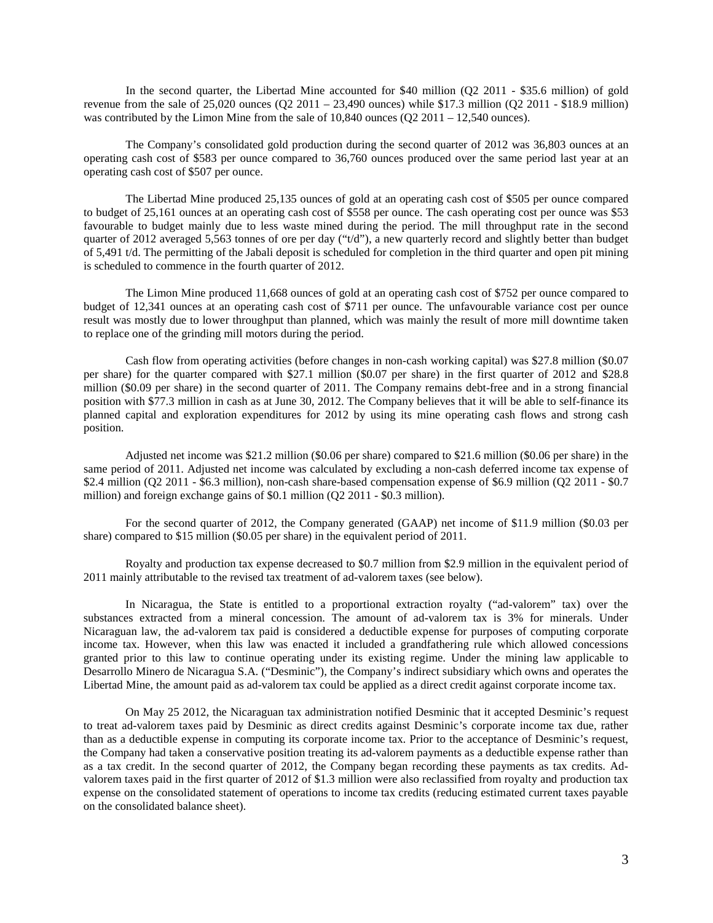In the second quarter, the Libertad Mine accounted for \$40 million (Q2 2011 - \$35.6 million) of gold revenue from the sale of 25,020 ounces (O2 2011 – 23,490 ounces) while \$17.3 million (O2 2011 - \$18.9 million) was contributed by the Limon Mine from the sale of  $10,840$  ounces  $(O2 2011 - 12,540$  ounces).

The Company's consolidated gold production during the second quarter of 2012 was 36,803 ounces at an operating cash cost of \$583 per ounce compared to 36,760 ounces produced over the same period last year at an operating cash cost of \$507 per ounce.

The Libertad Mine produced 25,135 ounces of gold at an operating cash cost of \$505 per ounce compared to budget of 25,161 ounces at an operating cash cost of \$558 per ounce. The cash operating cost per ounce was \$53 favourable to budget mainly due to less waste mined during the period. The mill throughput rate in the second quarter of 2012 averaged 5,563 tonnes of ore per day ("t/d"), a new quarterly record and slightly better than budget of 5,491 t/d. The permitting of the Jabali deposit is scheduled for completion in the third quarter and open pit mining is scheduled to commence in the fourth quarter of 2012.

The Limon Mine produced 11,668 ounces of gold at an operating cash cost of \$752 per ounce compared to budget of 12,341 ounces at an operating cash cost of \$711 per ounce. The unfavourable variance cost per ounce result was mostly due to lower throughput than planned, which was mainly the result of more mill downtime taken to replace one of the grinding mill motors during the period.

Cash flow from operating activities (before changes in non-cash working capital) was \$27.8 million (\$0.07 per share) for the quarter compared with \$27.1 million (\$0.07 per share) in the first quarter of 2012 and \$28.8 million (\$0.09 per share) in the second quarter of 2011. The Company remains debt-free and in a strong financial position with \$77.3 million in cash as at June 30, 2012. The Company believes that it will be able to self-finance its planned capital and exploration expenditures for 2012 by using its mine operating cash flows and strong cash position.

Adjusted net income was \$21.2 million (\$0.06 per share) compared to \$21.6 million (\$0.06 per share) in the same period of 2011. Adjusted net income was calculated by excluding a non-cash deferred income tax expense of \$2.4 million (Q2 2011 - \$6.3 million), non-cash share-based compensation expense of \$6.9 million (Q2 2011 - \$0.7 million) and foreign exchange gains of \$0.1 million (Q2 2011 - \$0.3 million).

For the second quarter of 2012, the Company generated (GAAP) net income of \$11.9 million (\$0.03 per share) compared to \$15 million (\$0.05 per share) in the equivalent period of 2011.

Royalty and production tax expense decreased to \$0.7 million from \$2.9 million in the equivalent period of 2011 mainly attributable to the revised tax treatment of ad-valorem taxes (see below).

In Nicaragua, the State is entitled to a proportional extraction royalty ("ad-valorem" tax) over the substances extracted from a mineral concession. The amount of ad-valorem tax is 3% for minerals. Under Nicaraguan law, the ad-valorem tax paid is considered a deductible expense for purposes of computing corporate income tax. However, when this law was enacted it included a grandfathering rule which allowed concessions granted prior to this law to continue operating under its existing regime. Under the mining law applicable to Desarrollo Minero de Nicaragua S.A. ("Desminic"), the Company's indirect subsidiary which owns and operates the Libertad Mine, the amount paid as ad-valorem tax could be applied as a direct credit against corporate income tax.

On May 25 2012, the Nicaraguan tax administration notified Desminic that it accepted Desminic's request to treat ad-valorem taxes paid by Desminic as direct credits against Desminic's corporate income tax due, rather than as a deductible expense in computing its corporate income tax. Prior to the acceptance of Desminic's request, the Company had taken a conservative position treating its ad-valorem payments as a deductible expense rather than as a tax credit. In the second quarter of 2012, the Company began recording these payments as tax credits. Advalorem taxes paid in the first quarter of 2012 of \$1.3 million were also reclassified from royalty and production tax expense on the consolidated statement of operations to income tax credits (reducing estimated current taxes payable on the consolidated balance sheet).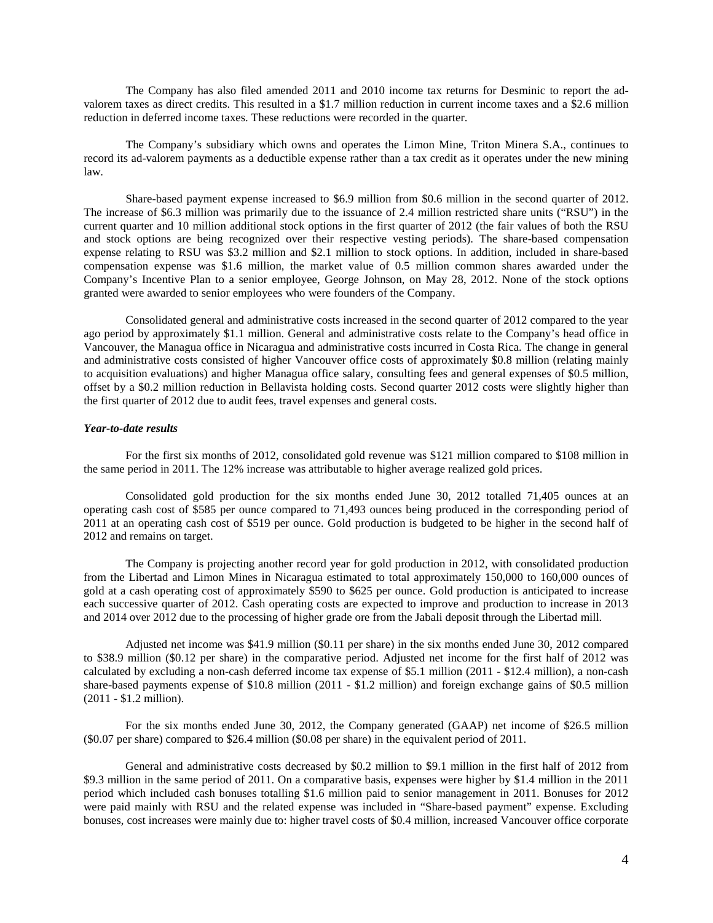The Company has also filed amended 2011 and 2010 income tax returns for Desminic to report the advalorem taxes as direct credits. This resulted in a \$1.7 million reduction in current income taxes and a \$2.6 million reduction in deferred income taxes. These reductions were recorded in the quarter.

The Company's subsidiary which owns and operates the Limon Mine, Triton Minera S.A., continues to record its ad-valorem payments as a deductible expense rather than a tax credit as it operates under the new mining law.

Share-based payment expense increased to \$6.9 million from \$0.6 million in the second quarter of 2012. The increase of \$6.3 million was primarily due to the issuance of 2.4 million restricted share units ("RSU") in the current quarter and 10 million additional stock options in the first quarter of 2012 (the fair values of both the RSU and stock options are being recognized over their respective vesting periods). The share-based compensation expense relating to RSU was \$3.2 million and \$2.1 million to stock options. In addition, included in share-based compensation expense was \$1.6 million, the market value of 0.5 million common shares awarded under the Company's Incentive Plan to a senior employee, George Johnson, on May 28, 2012. None of the stock options granted were awarded to senior employees who were founders of the Company.

Consolidated general and administrative costs increased in the second quarter of 2012 compared to the year ago period by approximately \$1.1 million. General and administrative costs relate to the Company's head office in Vancouver, the Managua office in Nicaragua and administrative costs incurred in Costa Rica. The change in general and administrative costs consisted of higher Vancouver office costs of approximately \$0.8 million (relating mainly to acquisition evaluations) and higher Managua office salary, consulting fees and general expenses of \$0.5 million, offset by a \$0.2 million reduction in Bellavista holding costs. Second quarter 2012 costs were slightly higher than the first quarter of 2012 due to audit fees, travel expenses and general costs.

### *Year-to-date results*

For the first six months of 2012, consolidated gold revenue was \$121 million compared to \$108 million in the same period in 2011. The 12% increase was attributable to higher average realized gold prices.

Consolidated gold production for the six months ended June 30, 2012 totalled 71,405 ounces at an operating cash cost of \$585 per ounce compared to 71,493 ounces being produced in the corresponding period of 2011 at an operating cash cost of \$519 per ounce. Gold production is budgeted to be higher in the second half of 2012 and remains on target.

The Company is projecting another record year for gold production in 2012, with consolidated production from the Libertad and Limon Mines in Nicaragua estimated to total approximately 150,000 to 160,000 ounces of gold at a cash operating cost of approximately \$590 to \$625 per ounce. Gold production is anticipated to increase each successive quarter of 2012. Cash operating costs are expected to improve and production to increase in 2013 and 2014 over 2012 due to the processing of higher grade ore from the Jabali deposit through the Libertad mill.

Adjusted net income was \$41.9 million (\$0.11 per share) in the six months ended June 30, 2012 compared to \$38.9 million (\$0.12 per share) in the comparative period. Adjusted net income for the first half of 2012 was calculated by excluding a non-cash deferred income tax expense of \$5.1 million (2011 - \$12.4 million), a non-cash share-based payments expense of \$10.8 million (2011 - \$1.2 million) and foreign exchange gains of \$0.5 million (2011 - \$1.2 million).

For the six months ended June 30, 2012, the Company generated (GAAP) net income of \$26.5 million (\$0.07 per share) compared to \$26.4 million (\$0.08 per share) in the equivalent period of 2011.

General and administrative costs decreased by \$0.2 million to \$9.1 million in the first half of 2012 from \$9.3 million in the same period of 2011. On a comparative basis, expenses were higher by \$1.4 million in the 2011 period which included cash bonuses totalling \$1.6 million paid to senior management in 2011. Bonuses for 2012 were paid mainly with RSU and the related expense was included in "Share-based payment" expense. Excluding bonuses, cost increases were mainly due to: higher travel costs of \$0.4 million, increased Vancouver office corporate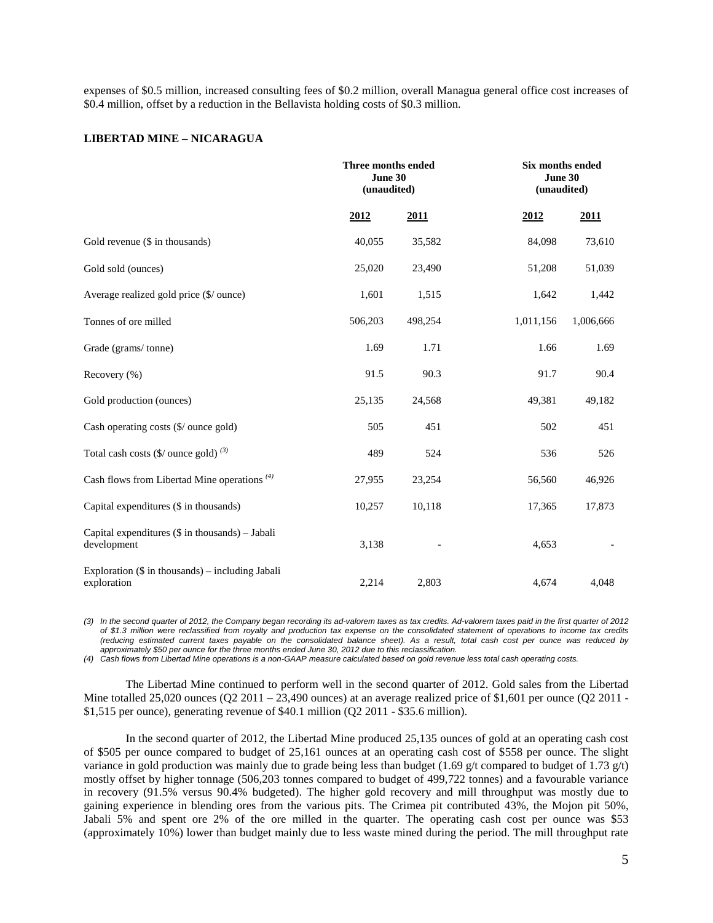expenses of \$0.5 million, increased consulting fees of \$0.2 million, overall Managua general office cost increases of \$0.4 million, offset by a reduction in the Bellavista holding costs of \$0.3 million.

## **LIBERTAD MINE – NICARAGUA**

|                                                                   |         | Three months ended<br>June 30<br>(unaudited) |           | Six months ended<br>June 30<br>(unaudited) |  |
|-------------------------------------------------------------------|---------|----------------------------------------------|-----------|--------------------------------------------|--|
|                                                                   | 2012    | 2011                                         | 2012      | 2011                                       |  |
| Gold revenue (\$ in thousands)                                    | 40,055  | 35,582                                       | 84,098    | 73,610                                     |  |
| Gold sold (ounces)                                                | 25,020  | 23,490                                       | 51,208    | 51,039                                     |  |
| Average realized gold price (\$/ ounce)                           | 1,601   | 1,515                                        | 1,642     | 1,442                                      |  |
| Tonnes of ore milled                                              | 506,203 | 498,254                                      | 1,011,156 | 1,006,666                                  |  |
| Grade (grams/tonne)                                               | 1.69    | 1.71                                         | 1.66      | 1.69                                       |  |
| Recovery (%)                                                      | 91.5    | 90.3                                         | 91.7      | 90.4                                       |  |
| Gold production (ounces)                                          | 25,135  | 24,568                                       | 49,381    | 49,182                                     |  |
| Cash operating costs (\$/ ounce gold)                             | 505     | 451                                          | 502       | 451                                        |  |
| Total cash costs $(\frac{6}{2})$ ounce gold) $^{(3)}$             | 489     | 524                                          | 536       | 526                                        |  |
| Cash flows from Libertad Mine operations $(4)$                    | 27,955  | 23,254                                       | 56,560    | 46,926                                     |  |
| Capital expenditures (\$ in thousands)                            | 10,257  | 10,118                                       | 17,365    | 17,873                                     |  |
| Capital expenditures (\$ in thousands) - Jabali<br>development    | 3,138   |                                              | 4,653     |                                            |  |
| Exploration $(\$$ in thousands) – including Jabali<br>exploration | 2,214   | 2,803                                        | 4,674     | 4,048                                      |  |

*(3) In the second quarter of 2012, the Company began recording its ad-valorem taxes as tax credits. Ad-valorem taxes paid in the first quarter of 2012 of \$1.3 million were reclassified from royalty and production tax expense on the consolidated statement of operations to income tax credits (reducing estimated current taxes payable on the consolidated balance sheet). As a result, total cash cost per ounce was reduced by approximately \$50 per ounce for the three months ended June 30, 2012 due to this reclassification.* 

*(4) Cash flows from Libertad Mine operations is a non-GAAP measure calculated based on gold revenue less total cash operating costs.* 

The Libertad Mine continued to perform well in the second quarter of 2012. Gold sales from the Libertad Mine totalled 25,020 ounces  $(Q2 2011 - 23,490$  ounces) at an average realized price of \$1,601 per ounce  $(Q2 2011 - Q3,490)$ \$1,515 per ounce), generating revenue of \$40.1 million (Q2 2011 - \$35.6 million).

In the second quarter of 2012, the Libertad Mine produced 25,135 ounces of gold at an operating cash cost of \$505 per ounce compared to budget of 25,161 ounces at an operating cash cost of \$558 per ounce. The slight variance in gold production was mainly due to grade being less than budget (1.69 g/t compared to budget of 1.73 g/t) mostly offset by higher tonnage (506,203 tonnes compared to budget of 499,722 tonnes) and a favourable variance in recovery (91.5% versus 90.4% budgeted). The higher gold recovery and mill throughput was mostly due to gaining experience in blending ores from the various pits. The Crimea pit contributed 43%, the Mojon pit 50%, Jabali 5% and spent ore 2% of the ore milled in the quarter. The operating cash cost per ounce was \$53 (approximately 10%) lower than budget mainly due to less waste mined during the period. The mill throughput rate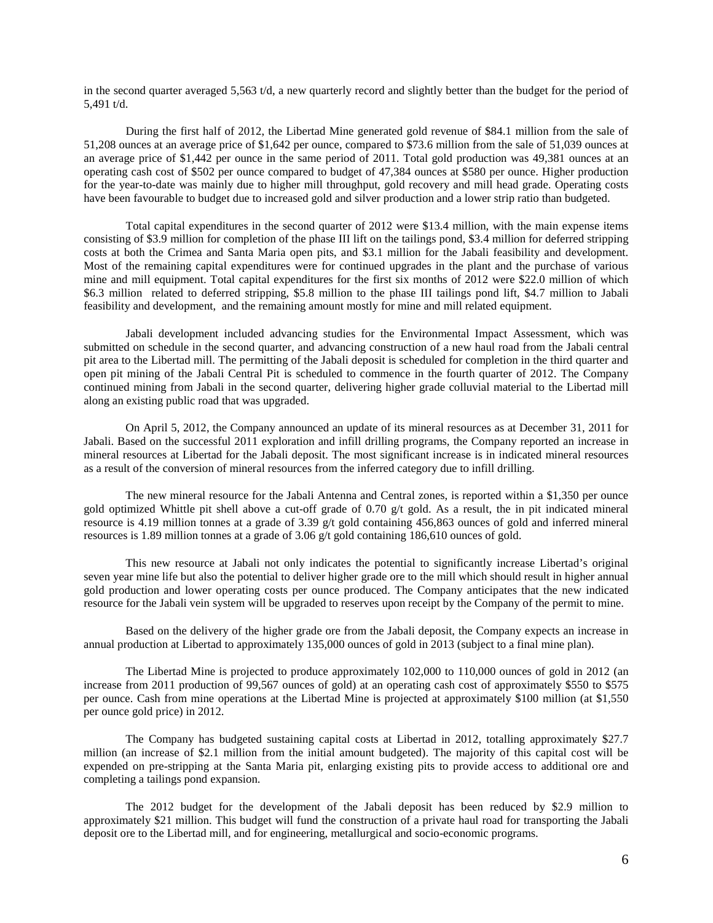in the second quarter averaged 5,563 t/d, a new quarterly record and slightly better than the budget for the period of 5,491 t/d.

During the first half of 2012, the Libertad Mine generated gold revenue of \$84.1 million from the sale of 51,208 ounces at an average price of \$1,642 per ounce, compared to \$73.6 million from the sale of 51,039 ounces at an average price of \$1,442 per ounce in the same period of 2011. Total gold production was 49,381 ounces at an operating cash cost of \$502 per ounce compared to budget of 47,384 ounces at \$580 per ounce. Higher production for the year-to-date was mainly due to higher mill throughput, gold recovery and mill head grade. Operating costs have been favourable to budget due to increased gold and silver production and a lower strip ratio than budgeted.

Total capital expenditures in the second quarter of 2012 were \$13.4 million, with the main expense items consisting of \$3.9 million for completion of the phase III lift on the tailings pond, \$3.4 million for deferred stripping costs at both the Crimea and Santa Maria open pits, and \$3.1 million for the Jabali feasibility and development. Most of the remaining capital expenditures were for continued upgrades in the plant and the purchase of various mine and mill equipment. Total capital expenditures for the first six months of 2012 were \$22.0 million of which \$6.3 million related to deferred stripping, \$5.8 million to the phase III tailings pond lift, \$4.7 million to Jabali feasibility and development, and the remaining amount mostly for mine and mill related equipment.

Jabali development included advancing studies for the Environmental Impact Assessment, which was submitted on schedule in the second quarter, and advancing construction of a new haul road from the Jabali central pit area to the Libertad mill. The permitting of the Jabali deposit is scheduled for completion in the third quarter and open pit mining of the Jabali Central Pit is scheduled to commence in the fourth quarter of 2012. The Company continued mining from Jabali in the second quarter, delivering higher grade colluvial material to the Libertad mill along an existing public road that was upgraded.

On April 5, 2012, the Company announced an update of its mineral resources as at December 31, 2011 for Jabali. Based on the successful 2011 exploration and infill drilling programs, the Company reported an increase in mineral resources at Libertad for the Jabali deposit. The most significant increase is in indicated mineral resources as a result of the conversion of mineral resources from the inferred category due to infill drilling.

The new mineral resource for the Jabali Antenna and Central zones, is reported within a \$1,350 per ounce gold optimized Whittle pit shell above a cut-off grade of 0.70  $g/t$  gold. As a result, the in pit indicated mineral resource is 4.19 million tonnes at a grade of 3.39 g/t gold containing 456,863 ounces of gold and inferred mineral resources is 1.89 million tonnes at a grade of 3.06 g/t gold containing 186,610 ounces of gold.

This new resource at Jabali not only indicates the potential to significantly increase Libertad's original seven year mine life but also the potential to deliver higher grade ore to the mill which should result in higher annual gold production and lower operating costs per ounce produced. The Company anticipates that the new indicated resource for the Jabali vein system will be upgraded to reserves upon receipt by the Company of the permit to mine.

Based on the delivery of the higher grade ore from the Jabali deposit, the Company expects an increase in annual production at Libertad to approximately 135,000 ounces of gold in 2013 (subject to a final mine plan).

The Libertad Mine is projected to produce approximately 102,000 to 110,000 ounces of gold in 2012 (an increase from 2011 production of 99,567 ounces of gold) at an operating cash cost of approximately \$550 to \$575 per ounce. Cash from mine operations at the Libertad Mine is projected at approximately \$100 million (at \$1,550 per ounce gold price) in 2012.

The Company has budgeted sustaining capital costs at Libertad in 2012, totalling approximately \$27.7 million (an increase of \$2.1 million from the initial amount budgeted). The majority of this capital cost will be expended on pre-stripping at the Santa Maria pit, enlarging existing pits to provide access to additional ore and completing a tailings pond expansion.

The 2012 budget for the development of the Jabali deposit has been reduced by \$2.9 million to approximately \$21 million. This budget will fund the construction of a private haul road for transporting the Jabali deposit ore to the Libertad mill, and for engineering, metallurgical and socio-economic programs.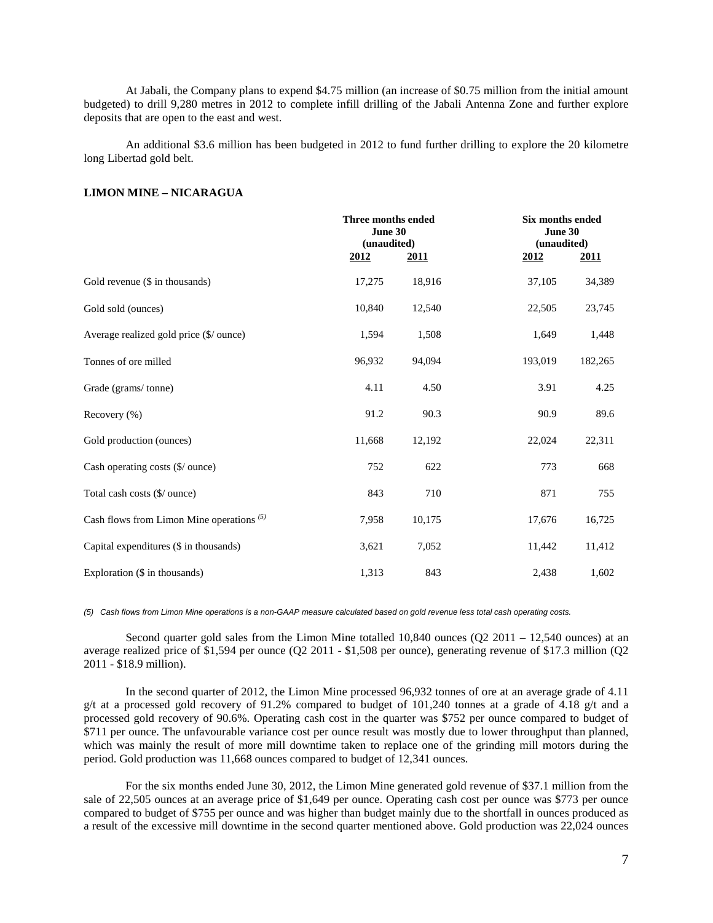At Jabali, the Company plans to expend \$4.75 million (an increase of \$0.75 million from the initial amount budgeted) to drill 9,280 metres in 2012 to complete infill drilling of the Jabali Antenna Zone and further explore deposits that are open to the east and west.

An additional \$3.6 million has been budgeted in 2012 to fund further drilling to explore the 20 kilometre long Libertad gold belt.

# **LIMON MINE – NICARAGUA**

|                                             |        | Three months ended<br>June 30<br>(unaudited) |         | Six months ended<br>June 30<br>(unaudited) |  |
|---------------------------------------------|--------|----------------------------------------------|---------|--------------------------------------------|--|
|                                             | 2012   | 2011                                         | 2012    | <u>2011</u>                                |  |
| Gold revenue (\$ in thousands)              | 17,275 | 18,916                                       | 37,105  | 34,389                                     |  |
| Gold sold (ounces)                          | 10,840 | 12,540                                       | 22,505  | 23,745                                     |  |
| Average realized gold price (\$/ ounce)     | 1,594  | 1,508                                        | 1,649   | 1,448                                      |  |
| Tonnes of ore milled                        | 96,932 | 94,094                                       | 193,019 | 182,265                                    |  |
| Grade (grams/tonne)                         | 4.11   | 4.50                                         | 3.91    | 4.25                                       |  |
| Recovery (%)                                | 91.2   | 90.3                                         | 90.9    | 89.6                                       |  |
| Gold production (ounces)                    | 11,668 | 12,192                                       | 22,024  | 22,311                                     |  |
| Cash operating costs (\$/ ounce)            | 752    | 622                                          | 773     | 668                                        |  |
| Total cash costs (\$/ ounce)                | 843    | 710                                          | 871     | 755                                        |  |
| Cash flows from Limon Mine operations $(5)$ | 7,958  | 10,175                                       | 17,676  | 16,725                                     |  |
| Capital expenditures (\$ in thousands)      | 3,621  | 7,052                                        | 11,442  | 11,412                                     |  |
| Exploration (\$ in thousands)               | 1,313  | 843                                          | 2,438   | 1,602                                      |  |

*(5) Cash flows from Limon Mine operations is a non-GAAP measure calculated based on gold revenue less total cash operating costs.* 

Second quarter gold sales from the Limon Mine totalled  $10,840$  ounces  $(Q2 2011 - 12,540$  ounces) at an average realized price of \$1,594 per ounce (Q2 2011 - \$1,508 per ounce), generating revenue of \$17.3 million (Q2 2011 - \$18.9 million).

In the second quarter of 2012, the Limon Mine processed 96,932 tonnes of ore at an average grade of 4.11 g/t at a processed gold recovery of 91.2% compared to budget of 101,240 tonnes at a grade of 4.18 g/t and a processed gold recovery of 90.6%. Operating cash cost in the quarter was \$752 per ounce compared to budget of \$711 per ounce. The unfavourable variance cost per ounce result was mostly due to lower throughput than planned, which was mainly the result of more mill downtime taken to replace one of the grinding mill motors during the period. Gold production was 11,668 ounces compared to budget of 12,341 ounces.

For the six months ended June 30, 2012, the Limon Mine generated gold revenue of \$37.1 million from the sale of 22,505 ounces at an average price of \$1,649 per ounce. Operating cash cost per ounce was \$773 per ounce compared to budget of \$755 per ounce and was higher than budget mainly due to the shortfall in ounces produced as a result of the excessive mill downtime in the second quarter mentioned above. Gold production was 22,024 ounces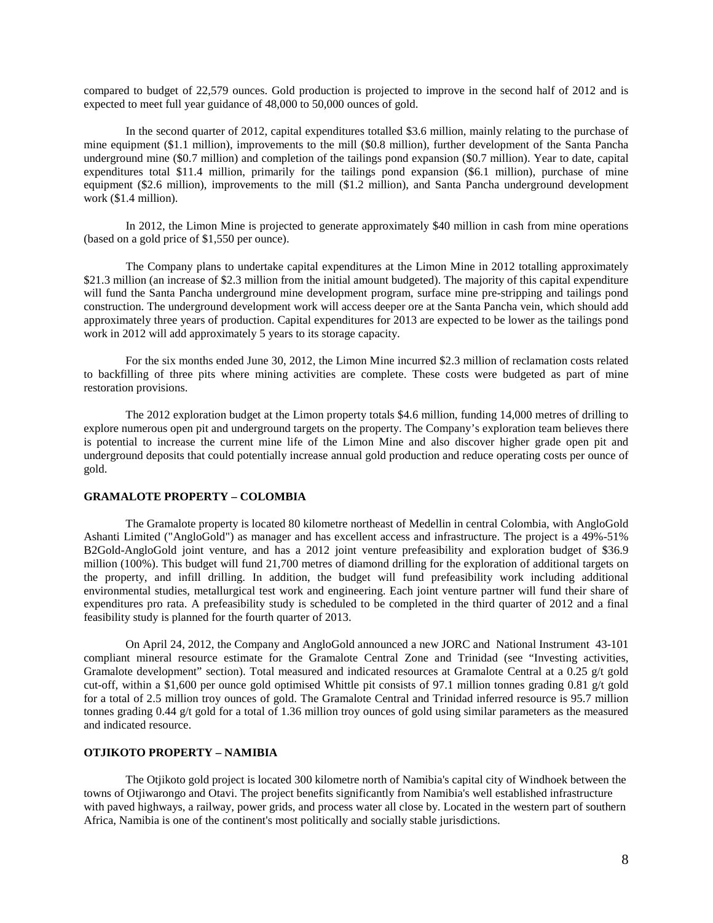compared to budget of 22,579 ounces. Gold production is projected to improve in the second half of 2012 and is expected to meet full year guidance of 48,000 to 50,000 ounces of gold.

In the second quarter of 2012, capital expenditures totalled \$3.6 million, mainly relating to the purchase of mine equipment (\$1.1 million), improvements to the mill (\$0.8 million), further development of the Santa Pancha underground mine (\$0.7 million) and completion of the tailings pond expansion (\$0.7 million). Year to date, capital expenditures total \$11.4 million, primarily for the tailings pond expansion (\$6.1 million), purchase of mine equipment (\$2.6 million), improvements to the mill (\$1.2 million), and Santa Pancha underground development work (\$1.4 million).

In 2012, the Limon Mine is projected to generate approximately \$40 million in cash from mine operations (based on a gold price of \$1,550 per ounce).

The Company plans to undertake capital expenditures at the Limon Mine in 2012 totalling approximately \$21.3 million (an increase of \$2.3 million from the initial amount budgeted). The majority of this capital expenditure will fund the Santa Pancha underground mine development program, surface mine pre-stripping and tailings pond construction. The underground development work will access deeper ore at the Santa Pancha vein, which should add approximately three years of production. Capital expenditures for 2013 are expected to be lower as the tailings pond work in 2012 will add approximately 5 years to its storage capacity.

For the six months ended June 30, 2012, the Limon Mine incurred \$2.3 million of reclamation costs related to backfilling of three pits where mining activities are complete. These costs were budgeted as part of mine restoration provisions.

The 2012 exploration budget at the Limon property totals \$4.6 million, funding 14,000 metres of drilling to explore numerous open pit and underground targets on the property. The Company's exploration team believes there is potential to increase the current mine life of the Limon Mine and also discover higher grade open pit and underground deposits that could potentially increase annual gold production and reduce operating costs per ounce of gold.

# **GRAMALOTE PROPERTY – COLOMBIA**

The Gramalote property is located 80 kilometre northeast of Medellin in central Colombia, with AngloGold Ashanti Limited ("AngloGold") as manager and has excellent access and infrastructure. The project is a 49%-51% B2Gold-AngloGold joint venture, and has a 2012 joint venture prefeasibility and exploration budget of \$36.9 million (100%). This budget will fund 21,700 metres of diamond drilling for the exploration of additional targets on the property, and infill drilling. In addition, the budget will fund prefeasibility work including additional environmental studies, metallurgical test work and engineering. Each joint venture partner will fund their share of expenditures pro rata. A prefeasibility study is scheduled to be completed in the third quarter of 2012 and a final feasibility study is planned for the fourth quarter of 2013.

On April 24, 2012, the Company and AngloGold announced a new JORC and National Instrument 43-101 compliant mineral resource estimate for the Gramalote Central Zone and Trinidad (see "Investing activities, Gramalote development" section). Total measured and indicated resources at Gramalote Central at a 0.25 g/t gold cut-off, within a \$1,600 per ounce gold optimised Whittle pit consists of 97.1 million tonnes grading 0.81 g/t gold for a total of 2.5 million troy ounces of gold. The Gramalote Central and Trinidad inferred resource is 95.7 million tonnes grading 0.44 g/t gold for a total of 1.36 million troy ounces of gold using similar parameters as the measured and indicated resource.

# **OTJIKOTO PROPERTY – NAMIBIA**

The Otjikoto gold project is located 300 kilometre north of Namibia's capital city of Windhoek between the towns of Otjiwarongo and Otavi. The project benefits significantly from Namibia's well established infrastructure with paved highways, a railway, power grids, and process water all close by. Located in the western part of southern Africa, Namibia is one of the continent's most politically and socially stable jurisdictions.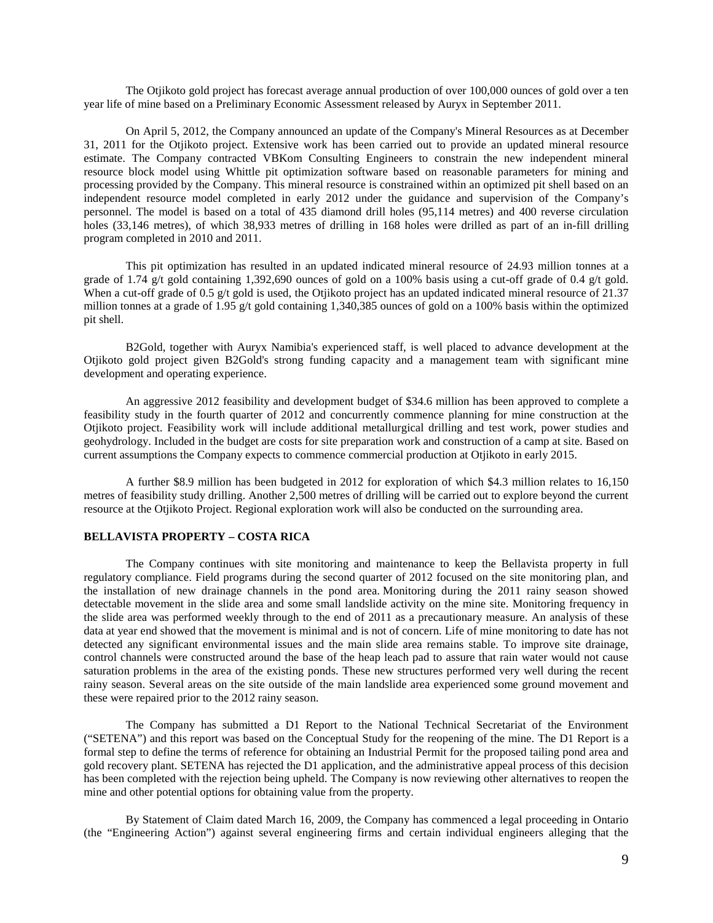The Otjikoto gold project has forecast average annual production of over 100,000 ounces of gold over a ten year life of mine based on a Preliminary Economic Assessment released by Auryx in September 2011.

On April 5, 2012, the Company announced an update of the Company's Mineral Resources as at December 31, 2011 for the Otjikoto project. Extensive work has been carried out to provide an updated mineral resource estimate. The Company contracted VBKom Consulting Engineers to constrain the new independent mineral resource block model using Whittle pit optimization software based on reasonable parameters for mining and processing provided by the Company. This mineral resource is constrained within an optimized pit shell based on an independent resource model completed in early 2012 under the guidance and supervision of the Company's personnel. The model is based on a total of 435 diamond drill holes (95,114 metres) and 400 reverse circulation holes (33,146 metres), of which 38,933 metres of drilling in 168 holes were drilled as part of an in-fill drilling program completed in 2010 and 2011.

This pit optimization has resulted in an updated indicated mineral resource of 24.93 million tonnes at a grade of 1.74 g/t gold containing 1,392,690 ounces of gold on a 100% basis using a cut-off grade of 0.4 g/t gold. When a cut-off grade of 0.5 g/t gold is used, the Otjikoto project has an updated indicated mineral resource of 21.37 million tonnes at a grade of 1.95 g/t gold containing 1,340,385 ounces of gold on a 100% basis within the optimized pit shell.

B2Gold, together with Auryx Namibia's experienced staff, is well placed to advance development at the Otjikoto gold project given B2Gold's strong funding capacity and a management team with significant mine development and operating experience.

An aggressive 2012 feasibility and development budget of \$34.6 million has been approved to complete a feasibility study in the fourth quarter of 2012 and concurrently commence planning for mine construction at the Otjikoto project. Feasibility work will include additional metallurgical drilling and test work, power studies and geohydrology. Included in the budget are costs for site preparation work and construction of a camp at site. Based on current assumptions the Company expects to commence commercial production at Otjikoto in early 2015.

A further \$8.9 million has been budgeted in 2012 for exploration of which \$4.3 million relates to 16,150 metres of feasibility study drilling. Another 2,500 metres of drilling will be carried out to explore beyond the current resource at the Otjikoto Project. Regional exploration work will also be conducted on the surrounding area.

# **BELLAVISTA PROPERTY – COSTA RICA**

The Company continues with site monitoring and maintenance to keep the Bellavista property in full regulatory compliance. Field programs during the second quarter of 2012 focused on the site monitoring plan, and the installation of new drainage channels in the pond area. Monitoring during the 2011 rainy season showed detectable movement in the slide area and some small landslide activity on the mine site. Monitoring frequency in the slide area was performed weekly through to the end of 2011 as a precautionary measure. An analysis of these data at year end showed that the movement is minimal and is not of concern. Life of mine monitoring to date has not detected any significant environmental issues and the main slide area remains stable. To improve site drainage, control channels were constructed around the base of the heap leach pad to assure that rain water would not cause saturation problems in the area of the existing ponds. These new structures performed very well during the recent rainy season. Several areas on the site outside of the main landslide area experienced some ground movement and these were repaired prior to the 2012 rainy season.

The Company has submitted a D1 Report to the National Technical Secretariat of the Environment ("SETENA") and this report was based on the Conceptual Study for the reopening of the mine. The D1 Report is a formal step to define the terms of reference for obtaining an Industrial Permit for the proposed tailing pond area and gold recovery plant. SETENA has rejected the D1 application, and the administrative appeal process of this decision has been completed with the rejection being upheld. The Company is now reviewing other alternatives to reopen the mine and other potential options for obtaining value from the property.

By Statement of Claim dated March 16, 2009, the Company has commenced a legal proceeding in Ontario (the "Engineering Action") against several engineering firms and certain individual engineers alleging that the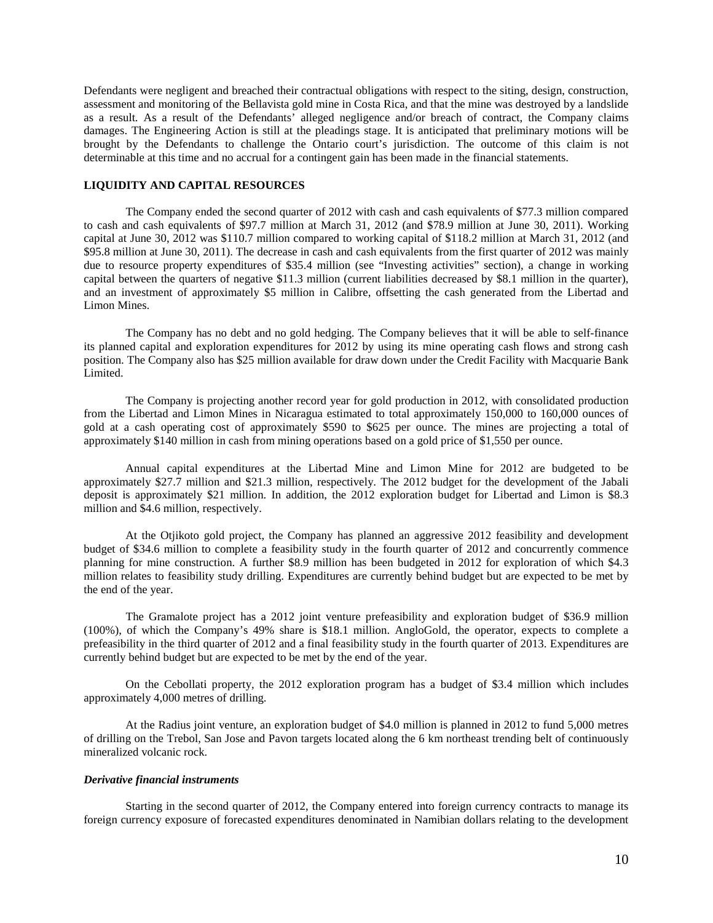Defendants were negligent and breached their contractual obligations with respect to the siting, design, construction, assessment and monitoring of the Bellavista gold mine in Costa Rica, and that the mine was destroyed by a landslide as a result. As a result of the Defendants' alleged negligence and/or breach of contract, the Company claims damages. The Engineering Action is still at the pleadings stage. It is anticipated that preliminary motions will be brought by the Defendants to challenge the Ontario court's jurisdiction. The outcome of this claim is not determinable at this time and no accrual for a contingent gain has been made in the financial statements.

# **LIQUIDITY AND CAPITAL RESOURCES**

The Company ended the second quarter of 2012 with cash and cash equivalents of \$77.3 million compared to cash and cash equivalents of \$97.7 million at March 31, 2012 (and \$78.9 million at June 30, 2011). Working capital at June 30, 2012 was \$110.7 million compared to working capital of \$118.2 million at March 31, 2012 (and \$95.8 million at June 30, 2011). The decrease in cash and cash equivalents from the first quarter of 2012 was mainly due to resource property expenditures of \$35.4 million (see "Investing activities" section), a change in working capital between the quarters of negative \$11.3 million (current liabilities decreased by \$8.1 million in the quarter), and an investment of approximately \$5 million in Calibre, offsetting the cash generated from the Libertad and Limon Mines.

The Company has no debt and no gold hedging. The Company believes that it will be able to self-finance its planned capital and exploration expenditures for 2012 by using its mine operating cash flows and strong cash position. The Company also has \$25 million available for draw down under the Credit Facility with Macquarie Bank Limited.

The Company is projecting another record year for gold production in 2012, with consolidated production from the Libertad and Limon Mines in Nicaragua estimated to total approximately 150,000 to 160,000 ounces of gold at a cash operating cost of approximately \$590 to \$625 per ounce. The mines are projecting a total of approximately \$140 million in cash from mining operations based on a gold price of \$1,550 per ounce.

Annual capital expenditures at the Libertad Mine and Limon Mine for 2012 are budgeted to be approximately \$27.7 million and \$21.3 million, respectively. The 2012 budget for the development of the Jabali deposit is approximately \$21 million. In addition, the 2012 exploration budget for Libertad and Limon is \$8.3 million and \$4.6 million, respectively.

At the Otjikoto gold project, the Company has planned an aggressive 2012 feasibility and development budget of \$34.6 million to complete a feasibility study in the fourth quarter of 2012 and concurrently commence planning for mine construction. A further \$8.9 million has been budgeted in 2012 for exploration of which \$4.3 million relates to feasibility study drilling. Expenditures are currently behind budget but are expected to be met by the end of the year.

The Gramalote project has a 2012 joint venture prefeasibility and exploration budget of \$36.9 million (100%), of which the Company's 49% share is \$18.1 million. AngloGold, the operator, expects to complete a prefeasibility in the third quarter of 2012 and a final feasibility study in the fourth quarter of 2013. Expenditures are currently behind budget but are expected to be met by the end of the year.

On the Cebollati property, the 2012 exploration program has a budget of \$3.4 million which includes approximately 4,000 metres of drilling.

At the Radius joint venture, an exploration budget of \$4.0 million is planned in 2012 to fund 5,000 metres of drilling on the Trebol, San Jose and Pavon targets located along the 6 km northeast trending belt of continuously mineralized volcanic rock.

#### *Derivative financial instruments*

Starting in the second quarter of 2012, the Company entered into foreign currency contracts to manage its foreign currency exposure of forecasted expenditures denominated in Namibian dollars relating to the development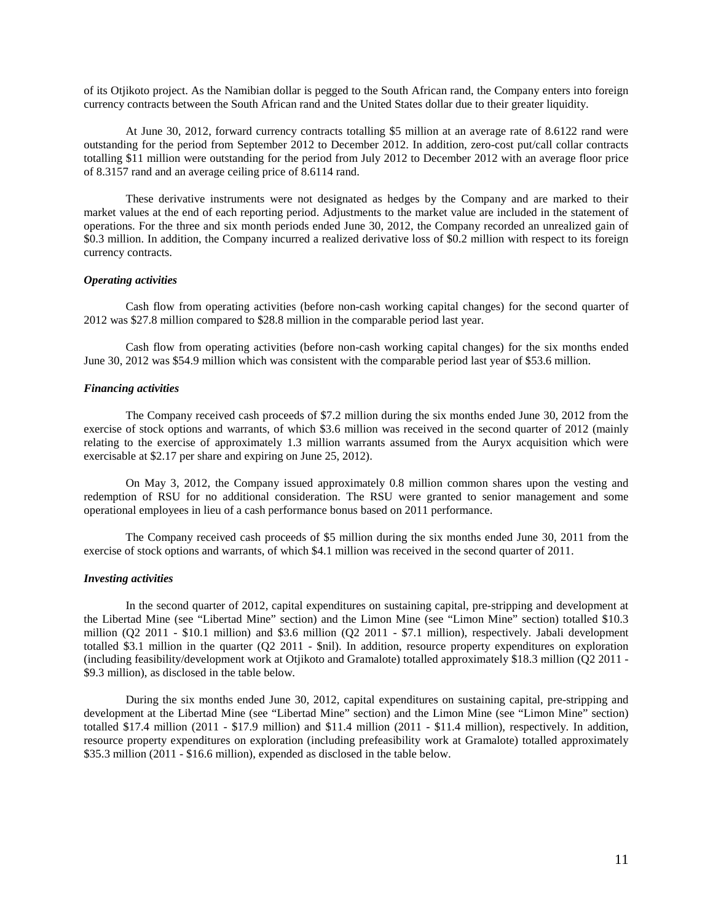of its Otjikoto project. As the Namibian dollar is pegged to the South African rand, the Company enters into foreign currency contracts between the South African rand and the United States dollar due to their greater liquidity.

At June 30, 2012, forward currency contracts totalling \$5 million at an average rate of 8.6122 rand were outstanding for the period from September 2012 to December 2012. In addition, zero-cost put/call collar contracts totalling \$11 million were outstanding for the period from July 2012 to December 2012 with an average floor price of 8.3157 rand and an average ceiling price of 8.6114 rand.

These derivative instruments were not designated as hedges by the Company and are marked to their market values at the end of each reporting period. Adjustments to the market value are included in the statement of operations. For the three and six month periods ended June 30, 2012, the Company recorded an unrealized gain of \$0.3 million. In addition, the Company incurred a realized derivative loss of \$0.2 million with respect to its foreign currency contracts.

### *Operating activities*

Cash flow from operating activities (before non-cash working capital changes) for the second quarter of 2012 was \$27.8 million compared to \$28.8 million in the comparable period last year.

Cash flow from operating activities (before non-cash working capital changes) for the six months ended June 30, 2012 was \$54.9 million which was consistent with the comparable period last year of \$53.6 million.

## *Financing activities*

The Company received cash proceeds of \$7.2 million during the six months ended June 30, 2012 from the exercise of stock options and warrants, of which \$3.6 million was received in the second quarter of 2012 (mainly relating to the exercise of approximately 1.3 million warrants assumed from the Auryx acquisition which were exercisable at \$2.17 per share and expiring on June 25, 2012).

On May 3, 2012, the Company issued approximately 0.8 million common shares upon the vesting and redemption of RSU for no additional consideration. The RSU were granted to senior management and some operational employees in lieu of a cash performance bonus based on 2011 performance.

The Company received cash proceeds of \$5 million during the six months ended June 30, 2011 from the exercise of stock options and warrants, of which \$4.1 million was received in the second quarter of 2011.

#### *Investing activities*

In the second quarter of 2012, capital expenditures on sustaining capital, pre-stripping and development at the Libertad Mine (see "Libertad Mine" section) and the Limon Mine (see "Limon Mine" section) totalled \$10.3 million (Q2 2011 - \$10.1 million) and \$3.6 million (Q2 2011 - \$7.1 million), respectively. Jabali development totalled \$3.1 million in the quarter (Q2 2011 - \$nil). In addition, resource property expenditures on exploration (including feasibility/development work at Otjikoto and Gramalote) totalled approximately \$18.3 million (Q2 2011 - \$9.3 million), as disclosed in the table below.

During the six months ended June 30, 2012, capital expenditures on sustaining capital, pre-stripping and development at the Libertad Mine (see "Libertad Mine" section) and the Limon Mine (see "Limon Mine" section) totalled \$17.4 million (2011 - \$17.9 million) and \$11.4 million (2011 - \$11.4 million), respectively. In addition, resource property expenditures on exploration (including prefeasibility work at Gramalote) totalled approximately \$35.3 million (2011 - \$16.6 million), expended as disclosed in the table below.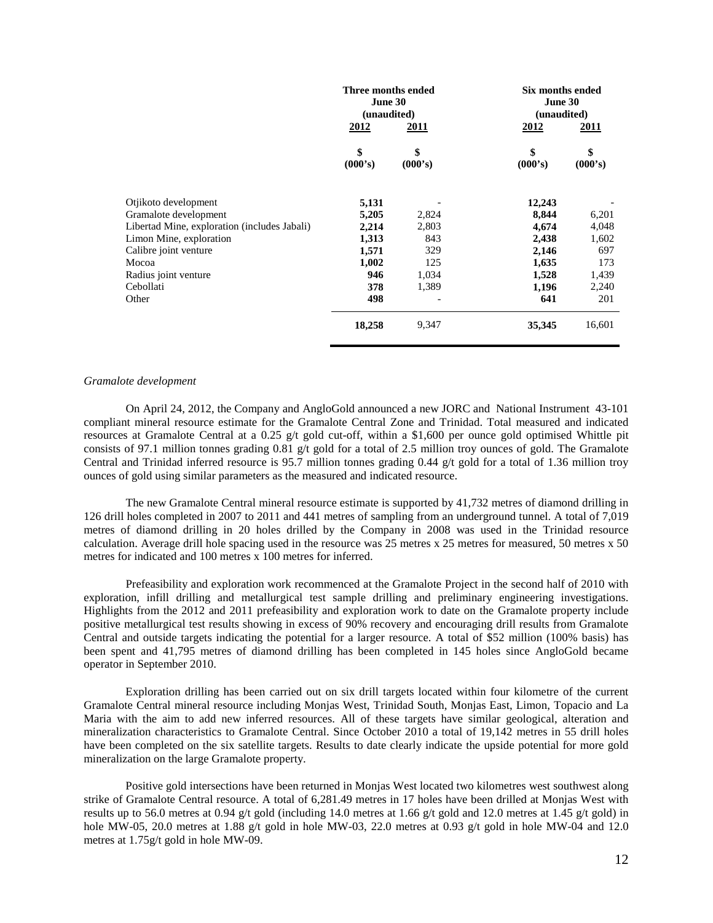|                                              | Three months ended<br>June 30<br>(unaudited) |               | Six months ended<br>June 30<br>(unaudited) |               |
|----------------------------------------------|----------------------------------------------|---------------|--------------------------------------------|---------------|
|                                              | <u>2012</u>                                  | <u>2011</u>   | 2012                                       | <u>2011</u>   |
|                                              | \$<br>(000's)                                | \$<br>(000's) | \$<br>(000's)                              | \$<br>(000's) |
| Otjikoto development                         | 5,131                                        |               | 12,243                                     |               |
| Gramalote development                        | 5,205                                        | 2,824         | 8,844                                      | 6,201         |
| Libertad Mine, exploration (includes Jabali) | 2,214                                        | 2,803         | 4,674                                      | 4,048         |
| Limon Mine, exploration                      | 1,313                                        | 843           | 2,438                                      | 1,602         |
| Calibre joint venture                        | 1,571                                        | 329           | 2,146                                      | 697           |
| Mocoa                                        | 1,002                                        | 125           | 1,635                                      | 173           |
| Radius joint venture                         | 946                                          | 1,034         | 1,528                                      | 1,439         |
| Cebollati                                    | 378                                          | 1,389         | 1,196                                      | 2,240         |
| Other                                        | 498                                          |               | 641                                        | 201           |
|                                              | 18,258                                       | 9,347         | 35,345                                     | 16,601        |

## *Gramalote development*

On April 24, 2012, the Company and AngloGold announced a new JORC and National Instrument 43-101 compliant mineral resource estimate for the Gramalote Central Zone and Trinidad. Total measured and indicated resources at Gramalote Central at a 0.25 g/t gold cut-off, within a \$1,600 per ounce gold optimised Whittle pit consists of 97.1 million tonnes grading 0.81 g/t gold for a total of 2.5 million troy ounces of gold. The Gramalote Central and Trinidad inferred resource is 95.7 million tonnes grading 0.44 g/t gold for a total of 1.36 million troy ounces of gold using similar parameters as the measured and indicated resource.

The new Gramalote Central mineral resource estimate is supported by 41,732 metres of diamond drilling in 126 drill holes completed in 2007 to 2011 and 441 metres of sampling from an underground tunnel. A total of 7,019 metres of diamond drilling in 20 holes drilled by the Company in 2008 was used in the Trinidad resource calculation. Average drill hole spacing used in the resource was 25 metres x 25 metres for measured, 50 metres x 50 metres for indicated and 100 metres x 100 metres for inferred.

Prefeasibility and exploration work recommenced at the Gramalote Project in the second half of 2010 with exploration, infill drilling and metallurgical test sample drilling and preliminary engineering investigations. Highlights from the 2012 and 2011 prefeasibility and exploration work to date on the Gramalote property include positive metallurgical test results showing in excess of 90% recovery and encouraging drill results from Gramalote Central and outside targets indicating the potential for a larger resource. A total of \$52 million (100% basis) has been spent and 41,795 metres of diamond drilling has been completed in 145 holes since AngloGold became operator in September 2010.

Exploration drilling has been carried out on six drill targets located within four kilometre of the current Gramalote Central mineral resource including Monjas West, Trinidad South, Monjas East, Limon, Topacio and La Maria with the aim to add new inferred resources. All of these targets have similar geological, alteration and mineralization characteristics to Gramalote Central. Since October 2010 a total of 19,142 metres in 55 drill holes have been completed on the six satellite targets. Results to date clearly indicate the upside potential for more gold mineralization on the large Gramalote property.

Positive gold intersections have been returned in Monjas West located two kilometres west southwest along strike of Gramalote Central resource. A total of 6,281.49 metres in 17 holes have been drilled at Monjas West with results up to 56.0 metres at 0.94 g/t gold (including 14.0 metres at 1.66 g/t gold and 12.0 metres at 1.45 g/t gold) in hole MW-05, 20.0 metres at 1.88 g/t gold in hole MW-03, 22.0 metres at 0.93 g/t gold in hole MW-04 and 12.0 metres at 1.75g/t gold in hole MW-09.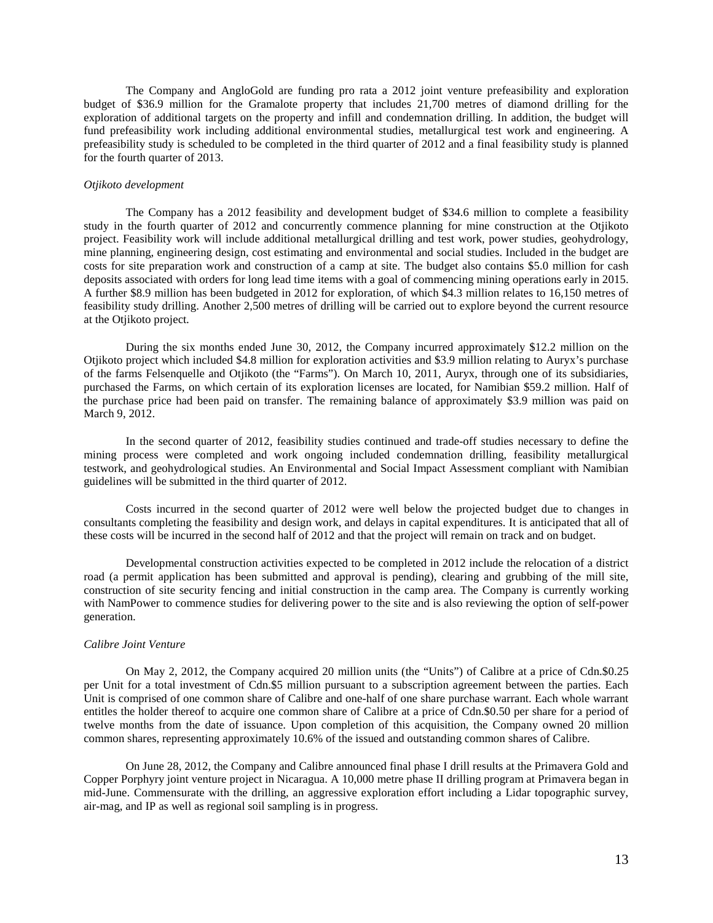The Company and AngloGold are funding pro rata a 2012 joint venture prefeasibility and exploration budget of \$36.9 million for the Gramalote property that includes 21,700 metres of diamond drilling for the exploration of additional targets on the property and infill and condemnation drilling. In addition, the budget will fund prefeasibility work including additional environmental studies, metallurgical test work and engineering. A prefeasibility study is scheduled to be completed in the third quarter of 2012 and a final feasibility study is planned for the fourth quarter of 2013.

# *Otjikoto development*

The Company has a 2012 feasibility and development budget of \$34.6 million to complete a feasibility study in the fourth quarter of 2012 and concurrently commence planning for mine construction at the Otjikoto project. Feasibility work will include additional metallurgical drilling and test work, power studies, geohydrology, mine planning, engineering design, cost estimating and environmental and social studies. Included in the budget are costs for site preparation work and construction of a camp at site. The budget also contains \$5.0 million for cash deposits associated with orders for long lead time items with a goal of commencing mining operations early in 2015. A further \$8.9 million has been budgeted in 2012 for exploration, of which \$4.3 million relates to 16,150 metres of feasibility study drilling. Another 2,500 metres of drilling will be carried out to explore beyond the current resource at the Otjikoto project.

During the six months ended June 30, 2012, the Company incurred approximately \$12.2 million on the Otjikoto project which included \$4.8 million for exploration activities and \$3.9 million relating to Auryx's purchase of the farms Felsenquelle and Otjikoto (the "Farms"). On March 10, 2011, Auryx, through one of its subsidiaries, purchased the Farms, on which certain of its exploration licenses are located, for Namibian \$59.2 million. Half of the purchase price had been paid on transfer. The remaining balance of approximately \$3.9 million was paid on March 9, 2012.

In the second quarter of 2012, feasibility studies continued and trade-off studies necessary to define the mining process were completed and work ongoing included condemnation drilling, feasibility metallurgical testwork, and geohydrological studies. An Environmental and Social Impact Assessment compliant with Namibian guidelines will be submitted in the third quarter of 2012.

Costs incurred in the second quarter of 2012 were well below the projected budget due to changes in consultants completing the feasibility and design work, and delays in capital expenditures. It is anticipated that all of these costs will be incurred in the second half of 2012 and that the project will remain on track and on budget.

Developmental construction activities expected to be completed in 2012 include the relocation of a district road (a permit application has been submitted and approval is pending), clearing and grubbing of the mill site, construction of site security fencing and initial construction in the camp area. The Company is currently working with NamPower to commence studies for delivering power to the site and is also reviewing the option of self-power generation.

#### *Calibre Joint Venture*

On May 2, 2012, the Company acquired 20 million units (the "Units") of Calibre at a price of Cdn.\$0.25 per Unit for a total investment of Cdn.\$5 million pursuant to a subscription agreement between the parties. Each Unit is comprised of one common share of Calibre and one-half of one share purchase warrant. Each whole warrant entitles the holder thereof to acquire one common share of Calibre at a price of Cdn.\$0.50 per share for a period of twelve months from the date of issuance. Upon completion of this acquisition, the Company owned 20 million common shares, representing approximately 10.6% of the issued and outstanding common shares of Calibre.

On June 28, 2012, the Company and Calibre announced final phase I drill results at the Primavera Gold and Copper Porphyry joint venture project in Nicaragua. A 10,000 metre phase II drilling program at Primavera began in mid-June. Commensurate with the drilling, an aggressive exploration effort including a Lidar topographic survey, air-mag, and IP as well as regional soil sampling is in progress.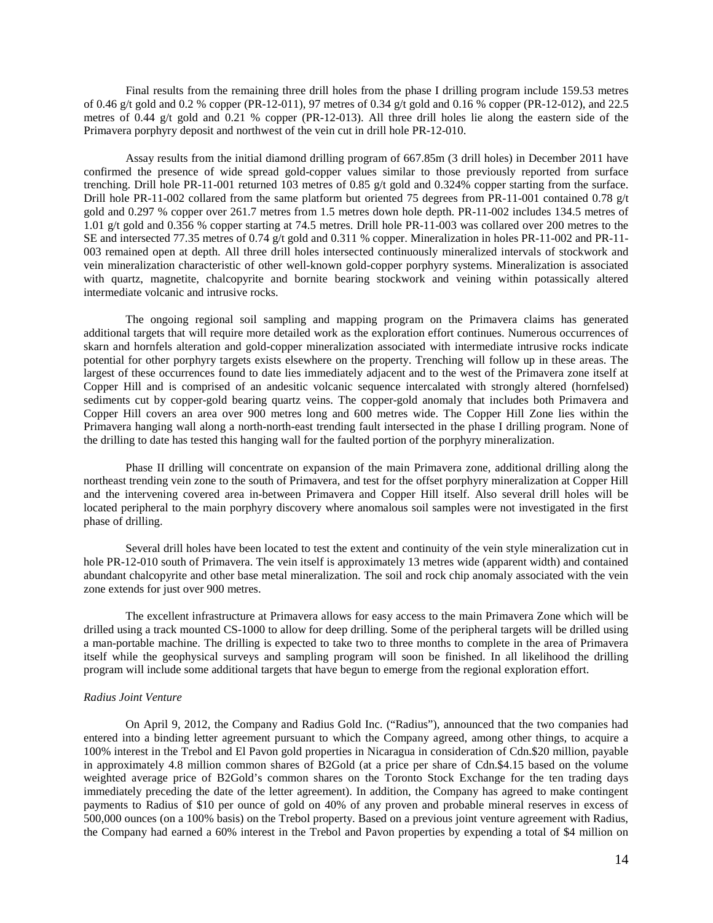Final results from the remaining three drill holes from the phase I drilling program include 159.53 metres of 0.46 g/t gold and 0.2 % copper (PR-12-011), 97 metres of 0.34 g/t gold and 0.16 % copper (PR-12-012), and 22.5 metres of 0.44 g/t gold and 0.21 % copper (PR-12-013). All three drill holes lie along the eastern side of the Primavera porphyry deposit and northwest of the vein cut in drill hole PR-12-010.

Assay results from the initial diamond drilling program of 667.85m (3 drill holes) in December 2011 have confirmed the presence of wide spread gold-copper values similar to those previously reported from surface trenching. Drill hole PR-11-001 returned 103 metres of 0.85 g/t gold and 0.324% copper starting from the surface. Drill hole PR-11-002 collared from the same platform but oriented 75 degrees from PR-11-001 contained 0.78 g/t gold and 0.297 % copper over 261.7 metres from 1.5 metres down hole depth. PR-11-002 includes 134.5 metres of 1.01 g/t gold and 0.356 % copper starting at 74.5 metres. Drill hole PR-11-003 was collared over 200 metres to the SE and intersected 77.35 metres of 0.74 g/t gold and 0.311 % copper. Mineralization in holes PR-11-002 and PR-11- 003 remained open at depth. All three drill holes intersected continuously mineralized intervals of stockwork and vein mineralization characteristic of other well-known gold-copper porphyry systems. Mineralization is associated with quartz, magnetite, chalcopyrite and bornite bearing stockwork and veining within potassically altered intermediate volcanic and intrusive rocks.

The ongoing regional soil sampling and mapping program on the Primavera claims has generated additional targets that will require more detailed work as the exploration effort continues. Numerous occurrences of skarn and hornfels alteration and gold-copper mineralization associated with intermediate intrusive rocks indicate potential for other porphyry targets exists elsewhere on the property. Trenching will follow up in these areas. The largest of these occurrences found to date lies immediately adjacent and to the west of the Primavera zone itself at Copper Hill and is comprised of an andesitic volcanic sequence intercalated with strongly altered (hornfelsed) sediments cut by copper-gold bearing quartz veins. The copper-gold anomaly that includes both Primavera and Copper Hill covers an area over 900 metres long and 600 metres wide. The Copper Hill Zone lies within the Primavera hanging wall along a north-north-east trending fault intersected in the phase I drilling program. None of the drilling to date has tested this hanging wall for the faulted portion of the porphyry mineralization.

Phase II drilling will concentrate on expansion of the main Primavera zone, additional drilling along the northeast trending vein zone to the south of Primavera, and test for the offset porphyry mineralization at Copper Hill and the intervening covered area in-between Primavera and Copper Hill itself. Also several drill holes will be located peripheral to the main porphyry discovery where anomalous soil samples were not investigated in the first phase of drilling.

Several drill holes have been located to test the extent and continuity of the vein style mineralization cut in hole PR-12-010 south of Primavera. The vein itself is approximately 13 metres wide (apparent width) and contained abundant chalcopyrite and other base metal mineralization. The soil and rock chip anomaly associated with the vein zone extends for just over 900 metres.

The excellent infrastructure at Primavera allows for easy access to the main Primavera Zone which will be drilled using a track mounted CS-1000 to allow for deep drilling. Some of the peripheral targets will be drilled using a man-portable machine. The drilling is expected to take two to three months to complete in the area of Primavera itself while the geophysical surveys and sampling program will soon be finished. In all likelihood the drilling program will include some additional targets that have begun to emerge from the regional exploration effort.

#### *Radius Joint Venture*

On April 9, 2012, the Company and Radius Gold Inc. ("Radius"), announced that the two companies had entered into a binding letter agreement pursuant to which the Company agreed, among other things, to acquire a 100% interest in the Trebol and El Pavon gold properties in Nicaragua in consideration of Cdn.\$20 million, payable in approximately 4.8 million common shares of B2Gold (at a price per share of Cdn.\$4.15 based on the volume weighted average price of B2Gold's common shares on the Toronto Stock Exchange for the ten trading days immediately preceding the date of the letter agreement). In addition, the Company has agreed to make contingent payments to Radius of \$10 per ounce of gold on 40% of any proven and probable mineral reserves in excess of 500,000 ounces (on a 100% basis) on the Trebol property. Based on a previous joint venture agreement with Radius, the Company had earned a 60% interest in the Trebol and Pavon properties by expending a total of \$4 million on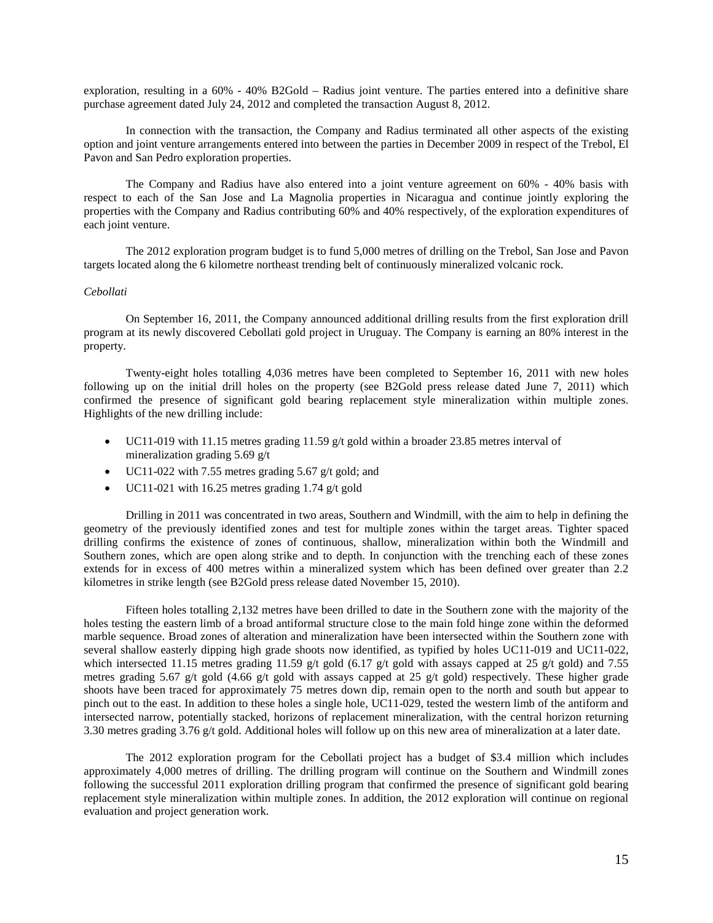exploration, resulting in a 60% - 40% B2Gold – Radius joint venture. The parties entered into a definitive share purchase agreement dated July 24, 2012 and completed the transaction August 8, 2012.

In connection with the transaction, the Company and Radius terminated all other aspects of the existing option and joint venture arrangements entered into between the parties in December 2009 in respect of the Trebol, El Pavon and San Pedro exploration properties.

The Company and Radius have also entered into a joint venture agreement on 60% - 40% basis with respect to each of the San Jose and La Magnolia properties in Nicaragua and continue jointly exploring the properties with the Company and Radius contributing 60% and 40% respectively, of the exploration expenditures of each joint venture.

The 2012 exploration program budget is to fund 5,000 metres of drilling on the Trebol, San Jose and Pavon targets located along the 6 kilometre northeast trending belt of continuously mineralized volcanic rock.

### *Cebollati*

On September 16, 2011, the Company announced additional drilling results from the first exploration drill program at its newly discovered Cebollati gold project in Uruguay. The Company is earning an 80% interest in the property.

Twenty-eight holes totalling 4,036 metres have been completed to September 16, 2011 with new holes following up on the initial drill holes on the property (see B2Gold press release dated June 7, 2011) which confirmed the presence of significant gold bearing replacement style mineralization within multiple zones. Highlights of the new drilling include:

- UC11-019 with 11.15 metres grading 11.59 g/t gold within a broader 23.85 metres interval of mineralization grading 5.69 g/t
- UC11-022 with 7.55 metres grading 5.67 g/t gold; and
- UC11-021 with 16.25 metres grading 1.74 g/t gold

Drilling in 2011 was concentrated in two areas, Southern and Windmill, with the aim to help in defining the geometry of the previously identified zones and test for multiple zones within the target areas. Tighter spaced drilling confirms the existence of zones of continuous, shallow, mineralization within both the Windmill and Southern zones, which are open along strike and to depth. In conjunction with the trenching each of these zones extends for in excess of 400 metres within a mineralized system which has been defined over greater than 2.2 kilometres in strike length (see B2Gold press release dated November 15, 2010).

Fifteen holes totalling 2,132 metres have been drilled to date in the Southern zone with the majority of the holes testing the eastern limb of a broad antiformal structure close to the main fold hinge zone within the deformed marble sequence. Broad zones of alteration and mineralization have been intersected within the Southern zone with several shallow easterly dipping high grade shoots now identified, as typified by holes UC11-019 and UC11-022, which intersected 11.15 metres grading 11.59 g/t gold (6.17 g/t gold with assays capped at 25 g/t gold) and 7.55 metres grading 5.67 g/t gold (4.66 g/t gold with assays capped at 25 g/t gold) respectively. These higher grade shoots have been traced for approximately 75 metres down dip, remain open to the north and south but appear to pinch out to the east. In addition to these holes a single hole, UC11-029, tested the western limb of the antiform and intersected narrow, potentially stacked, horizons of replacement mineralization, with the central horizon returning 3.30 metres grading 3.76 g/t gold. Additional holes will follow up on this new area of mineralization at a later date.

The 2012 exploration program for the Cebollati project has a budget of \$3.4 million which includes approximately 4,000 metres of drilling. The drilling program will continue on the Southern and Windmill zones following the successful 2011 exploration drilling program that confirmed the presence of significant gold bearing replacement style mineralization within multiple zones. In addition, the 2012 exploration will continue on regional evaluation and project generation work.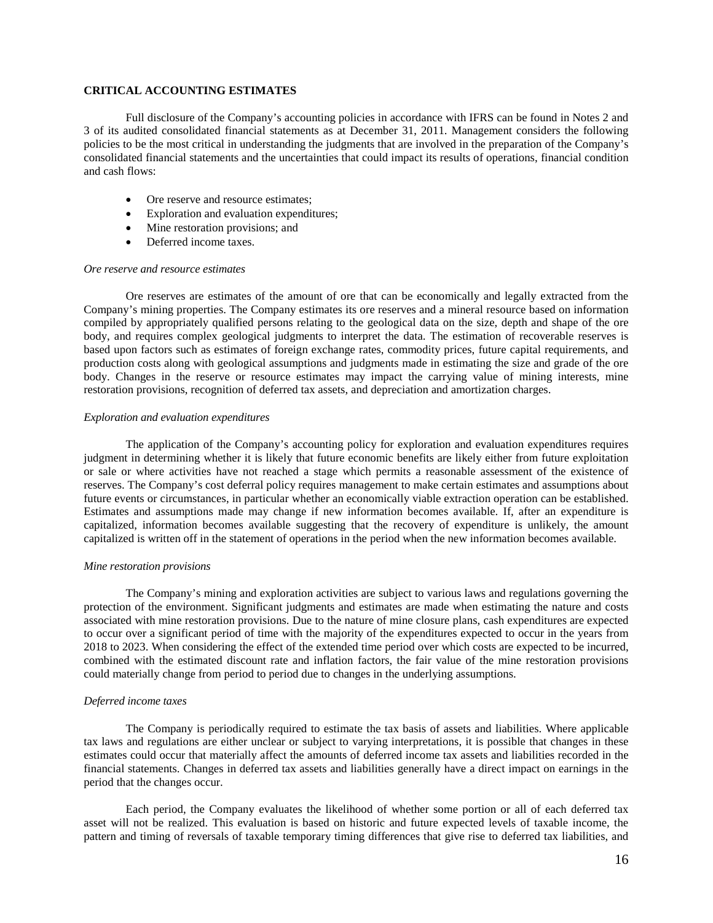# **CRITICAL ACCOUNTING ESTIMATES**

Full disclosure of the Company's accounting policies in accordance with IFRS can be found in Notes 2 and 3 of its audited consolidated financial statements as at December 31, 2011. Management considers the following policies to be the most critical in understanding the judgments that are involved in the preparation of the Company's consolidated financial statements and the uncertainties that could impact its results of operations, financial condition and cash flows:

- Ore reserve and resource estimates;
- Exploration and evaluation expenditures;
- Mine restoration provisions; and
- Deferred income taxes.

## *Ore reserve and resource estimates*

Ore reserves are estimates of the amount of ore that can be economically and legally extracted from the Company's mining properties. The Company estimates its ore reserves and a mineral resource based on information compiled by appropriately qualified persons relating to the geological data on the size, depth and shape of the ore body, and requires complex geological judgments to interpret the data. The estimation of recoverable reserves is based upon factors such as estimates of foreign exchange rates, commodity prices, future capital requirements, and production costs along with geological assumptions and judgments made in estimating the size and grade of the ore body. Changes in the reserve or resource estimates may impact the carrying value of mining interests, mine restoration provisions, recognition of deferred tax assets, and depreciation and amortization charges.

#### *Exploration and evaluation expenditures*

The application of the Company's accounting policy for exploration and evaluation expenditures requires judgment in determining whether it is likely that future economic benefits are likely either from future exploitation or sale or where activities have not reached a stage which permits a reasonable assessment of the existence of reserves. The Company's cost deferral policy requires management to make certain estimates and assumptions about future events or circumstances, in particular whether an economically viable extraction operation can be established. Estimates and assumptions made may change if new information becomes available. If, after an expenditure is capitalized, information becomes available suggesting that the recovery of expenditure is unlikely, the amount capitalized is written off in the statement of operations in the period when the new information becomes available.

#### *Mine restoration provisions*

The Company's mining and exploration activities are subject to various laws and regulations governing the protection of the environment. Significant judgments and estimates are made when estimating the nature and costs associated with mine restoration provisions. Due to the nature of mine closure plans, cash expenditures are expected to occur over a significant period of time with the majority of the expenditures expected to occur in the years from 2018 to 2023. When considering the effect of the extended time period over which costs are expected to be incurred, combined with the estimated discount rate and inflation factors, the fair value of the mine restoration provisions could materially change from period to period due to changes in the underlying assumptions.

#### *Deferred income taxes*

The Company is periodically required to estimate the tax basis of assets and liabilities. Where applicable tax laws and regulations are either unclear or subject to varying interpretations, it is possible that changes in these estimates could occur that materially affect the amounts of deferred income tax assets and liabilities recorded in the financial statements. Changes in deferred tax assets and liabilities generally have a direct impact on earnings in the period that the changes occur.

Each period, the Company evaluates the likelihood of whether some portion or all of each deferred tax asset will not be realized. This evaluation is based on historic and future expected levels of taxable income, the pattern and timing of reversals of taxable temporary timing differences that give rise to deferred tax liabilities, and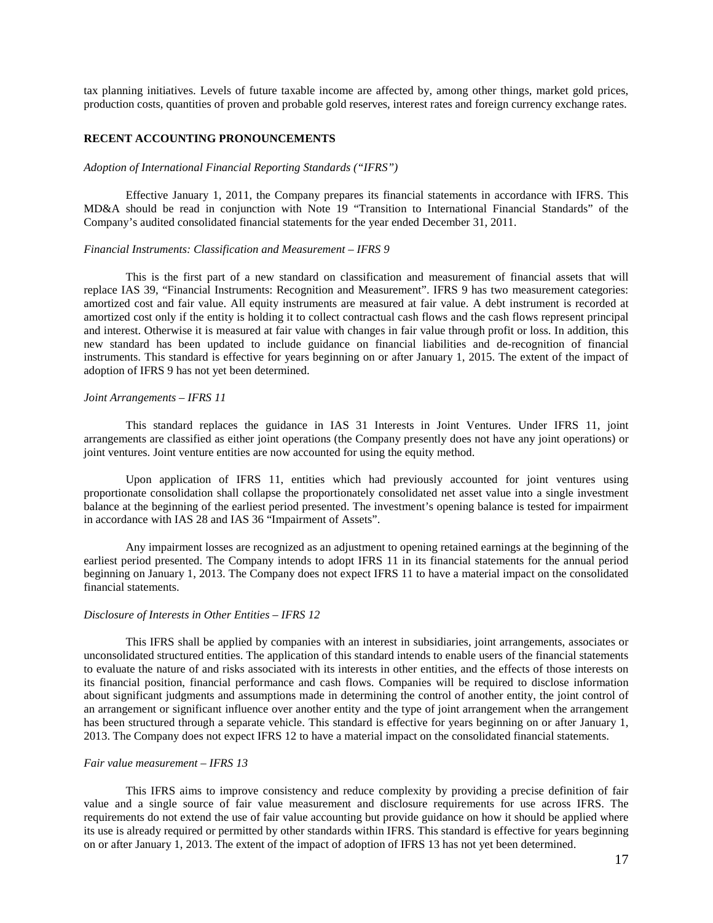tax planning initiatives. Levels of future taxable income are affected by, among other things, market gold prices, production costs, quantities of proven and probable gold reserves, interest rates and foreign currency exchange rates.

#### **RECENT ACCOUNTING PRONOUNCEMENTS**

## *Adoption of International Financial Reporting Standards ("IFRS")*

Effective January 1, 2011, the Company prepares its financial statements in accordance with IFRS. This MD&A should be read in conjunction with Note 19 "Transition to International Financial Standards" of the Company's audited consolidated financial statements for the year ended December 31, 2011.

## *Financial Instruments: Classification and Measurement – IFRS 9*

This is the first part of a new standard on classification and measurement of financial assets that will replace IAS 39, "Financial Instruments: Recognition and Measurement". IFRS 9 has two measurement categories: amortized cost and fair value. All equity instruments are measured at fair value. A debt instrument is recorded at amortized cost only if the entity is holding it to collect contractual cash flows and the cash flows represent principal and interest. Otherwise it is measured at fair value with changes in fair value through profit or loss. In addition, this new standard has been updated to include guidance on financial liabilities and de-recognition of financial instruments. This standard is effective for years beginning on or after January 1, 2015. The extent of the impact of adoption of IFRS 9 has not yet been determined.

#### *Joint Arrangements – IFRS 11*

This standard replaces the guidance in IAS 31 Interests in Joint Ventures. Under IFRS 11, joint arrangements are classified as either joint operations (the Company presently does not have any joint operations) or joint ventures. Joint venture entities are now accounted for using the equity method.

Upon application of IFRS 11, entities which had previously accounted for joint ventures using proportionate consolidation shall collapse the proportionately consolidated net asset value into a single investment balance at the beginning of the earliest period presented. The investment's opening balance is tested for impairment in accordance with IAS 28 and IAS 36 "Impairment of Assets".

Any impairment losses are recognized as an adjustment to opening retained earnings at the beginning of the earliest period presented. The Company intends to adopt IFRS 11 in its financial statements for the annual period beginning on January 1, 2013. The Company does not expect IFRS 11 to have a material impact on the consolidated financial statements.

## *Disclosure of Interests in Other Entities – IFRS 12*

This IFRS shall be applied by companies with an interest in subsidiaries, joint arrangements, associates or unconsolidated structured entities. The application of this standard intends to enable users of the financial statements to evaluate the nature of and risks associated with its interests in other entities, and the effects of those interests on its financial position, financial performance and cash flows. Companies will be required to disclose information about significant judgments and assumptions made in determining the control of another entity, the joint control of an arrangement or significant influence over another entity and the type of joint arrangement when the arrangement has been structured through a separate vehicle. This standard is effective for years beginning on or after January 1, 2013. The Company does not expect IFRS 12 to have a material impact on the consolidated financial statements.

## *Fair value measurement – IFRS 13*

This IFRS aims to improve consistency and reduce complexity by providing a precise definition of fair value and a single source of fair value measurement and disclosure requirements for use across IFRS. The requirements do not extend the use of fair value accounting but provide guidance on how it should be applied where its use is already required or permitted by other standards within IFRS. This standard is effective for years beginning on or after January 1, 2013. The extent of the impact of adoption of IFRS 13 has not yet been determined.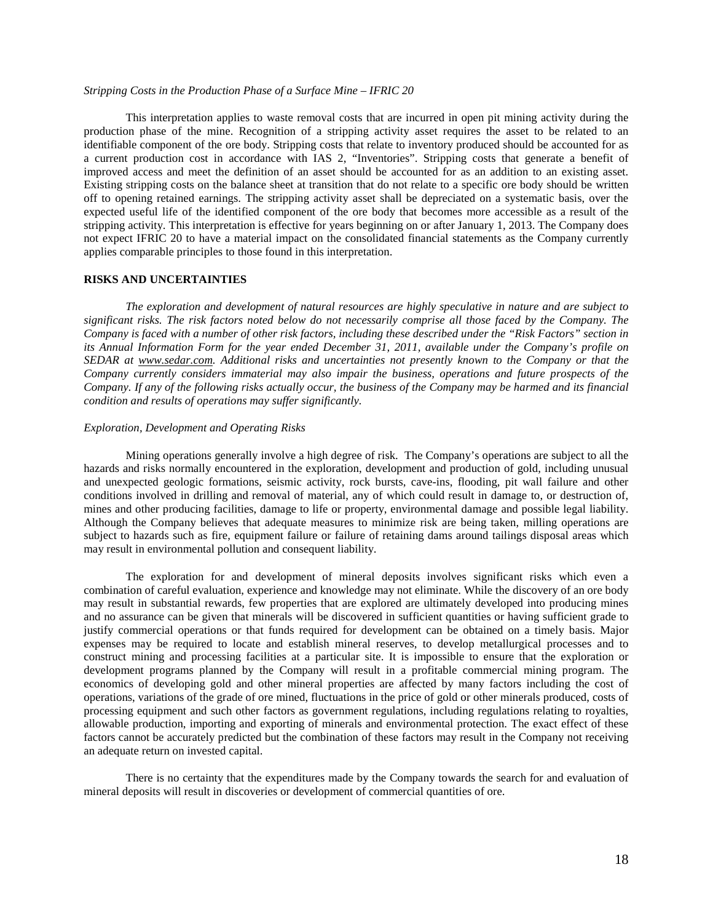# *Stripping Costs in the Production Phase of a Surface Mine – IFRIC 20*

This interpretation applies to waste removal costs that are incurred in open pit mining activity during the production phase of the mine. Recognition of a stripping activity asset requires the asset to be related to an identifiable component of the ore body. Stripping costs that relate to inventory produced should be accounted for as a current production cost in accordance with IAS 2, "Inventories". Stripping costs that generate a benefit of improved access and meet the definition of an asset should be accounted for as an addition to an existing asset. Existing stripping costs on the balance sheet at transition that do not relate to a specific ore body should be written off to opening retained earnings. The stripping activity asset shall be depreciated on a systematic basis, over the expected useful life of the identified component of the ore body that becomes more accessible as a result of the stripping activity. This interpretation is effective for years beginning on or after January 1, 2013. The Company does not expect IFRIC 20 to have a material impact on the consolidated financial statements as the Company currently applies comparable principles to those found in this interpretation.

#### **RISKS AND UNCERTAINTIES**

*The exploration and development of natural resources are highly speculative in nature and are subject to significant risks. The risk factors noted below do not necessarily comprise all those faced by the Company. The Company is faced with a number of other risk factors, including these described under the "Risk Factors" section in its Annual Information Form for the year ended December 31, 2011, available under the Company's profile on SEDAR at [www.sedar.com.](http://www.sedar.com/) Additional risks and uncertainties not presently known to the Company or that the Company currently considers immaterial may also impair the business, operations and future prospects of the Company. If any of the following risks actually occur, the business of the Company may be harmed and its financial condition and results of operations may suffer significantly.* 

### *Exploration, Development and Operating Risks*

Mining operations generally involve a high degree of risk. The Company's operations are subject to all the hazards and risks normally encountered in the exploration, development and production of gold, including unusual and unexpected geologic formations, seismic activity, rock bursts, cave-ins, flooding, pit wall failure and other conditions involved in drilling and removal of material, any of which could result in damage to, or destruction of, mines and other producing facilities, damage to life or property, environmental damage and possible legal liability. Although the Company believes that adequate measures to minimize risk are being taken, milling operations are subject to hazards such as fire, equipment failure or failure of retaining dams around tailings disposal areas which may result in environmental pollution and consequent liability.

The exploration for and development of mineral deposits involves significant risks which even a combination of careful evaluation, experience and knowledge may not eliminate. While the discovery of an ore body may result in substantial rewards, few properties that are explored are ultimately developed into producing mines and no assurance can be given that minerals will be discovered in sufficient quantities or having sufficient grade to justify commercial operations or that funds required for development can be obtained on a timely basis. Major expenses may be required to locate and establish mineral reserves, to develop metallurgical processes and to construct mining and processing facilities at a particular site. It is impossible to ensure that the exploration or development programs planned by the Company will result in a profitable commercial mining program. The economics of developing gold and other mineral properties are affected by many factors including the cost of operations, variations of the grade of ore mined, fluctuations in the price of gold or other minerals produced, costs of processing equipment and such other factors as government regulations, including regulations relating to royalties, allowable production, importing and exporting of minerals and environmental protection. The exact effect of these factors cannot be accurately predicted but the combination of these factors may result in the Company not receiving an adequate return on invested capital.

There is no certainty that the expenditures made by the Company towards the search for and evaluation of mineral deposits will result in discoveries or development of commercial quantities of ore.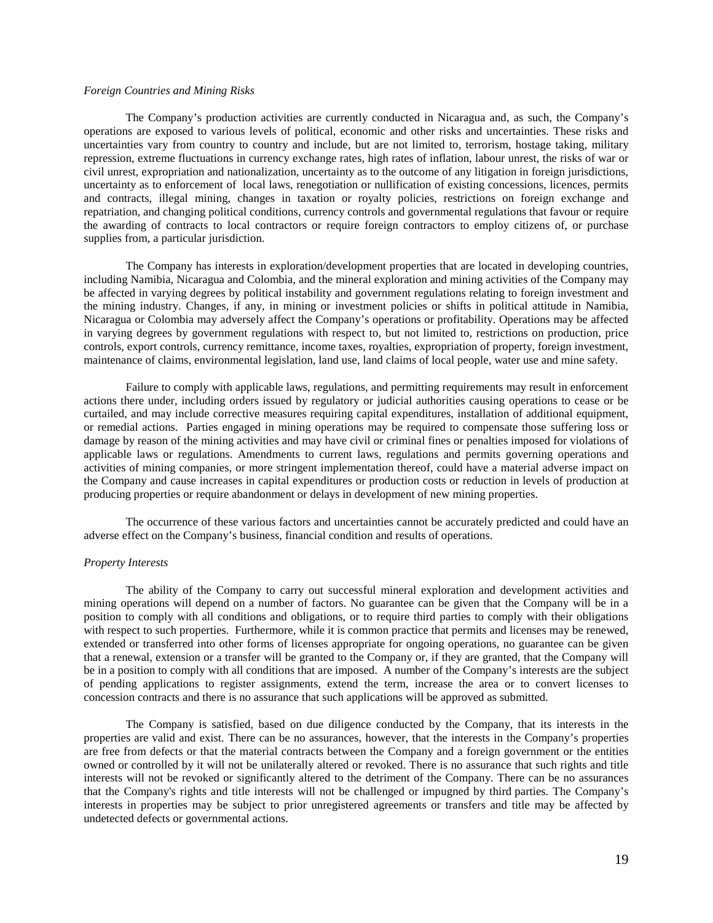### *Foreign Countries and Mining Risks*

The Company's production activities are currently conducted in Nicaragua and, as such, the Company's operations are exposed to various levels of political, economic and other risks and uncertainties. These risks and uncertainties vary from country to country and include, but are not limited to, terrorism, hostage taking, military repression, extreme fluctuations in currency exchange rates, high rates of inflation, labour unrest, the risks of war or civil unrest, expropriation and nationalization, uncertainty as to the outcome of any litigation in foreign jurisdictions, uncertainty as to enforcement of local laws, renegotiation or nullification of existing concessions, licences, permits and contracts, illegal mining, changes in taxation or royalty policies, restrictions on foreign exchange and repatriation, and changing political conditions, currency controls and governmental regulations that favour or require the awarding of contracts to local contractors or require foreign contractors to employ citizens of, or purchase supplies from, a particular jurisdiction.

The Company has interests in exploration/development properties that are located in developing countries, including Namibia, Nicaragua and Colombia, and the mineral exploration and mining activities of the Company may be affected in varying degrees by political instability and government regulations relating to foreign investment and the mining industry. Changes, if any, in mining or investment policies or shifts in political attitude in Namibia, Nicaragua or Colombia may adversely affect the Company's operations or profitability. Operations may be affected in varying degrees by government regulations with respect to, but not limited to, restrictions on production, price controls, export controls, currency remittance, income taxes, royalties, expropriation of property, foreign investment, maintenance of claims, environmental legislation, land use, land claims of local people, water use and mine safety.

Failure to comply with applicable laws, regulations, and permitting requirements may result in enforcement actions there under, including orders issued by regulatory or judicial authorities causing operations to cease or be curtailed, and may include corrective measures requiring capital expenditures, installation of additional equipment, or remedial actions. Parties engaged in mining operations may be required to compensate those suffering loss or damage by reason of the mining activities and may have civil or criminal fines or penalties imposed for violations of applicable laws or regulations. Amendments to current laws, regulations and permits governing operations and activities of mining companies, or more stringent implementation thereof, could have a material adverse impact on the Company and cause increases in capital expenditures or production costs or reduction in levels of production at producing properties or require abandonment or delays in development of new mining properties.

The occurrence of these various factors and uncertainties cannot be accurately predicted and could have an adverse effect on the Company's business, financial condition and results of operations.

### *Property Interests*

The ability of the Company to carry out successful mineral exploration and development activities and mining operations will depend on a number of factors. No guarantee can be given that the Company will be in a position to comply with all conditions and obligations, or to require third parties to comply with their obligations with respect to such properties. Furthermore, while it is common practice that permits and licenses may be renewed, extended or transferred into other forms of licenses appropriate for ongoing operations, no guarantee can be given that a renewal, extension or a transfer will be granted to the Company or, if they are granted, that the Company will be in a position to comply with all conditions that are imposed. A number of the Company's interests are the subject of pending applications to register assignments, extend the term, increase the area or to convert licenses to concession contracts and there is no assurance that such applications will be approved as submitted.

The Company is satisfied, based on due diligence conducted by the Company, that its interests in the properties are valid and exist. There can be no assurances, however, that the interests in the Company's properties are free from defects or that the material contracts between the Company and a foreign government or the entities owned or controlled by it will not be unilaterally altered or revoked. There is no assurance that such rights and title interests will not be revoked or significantly altered to the detriment of the Company. There can be no assurances that the Company's rights and title interests will not be challenged or impugned by third parties. The Company's interests in properties may be subject to prior unregistered agreements or transfers and title may be affected by undetected defects or governmental actions.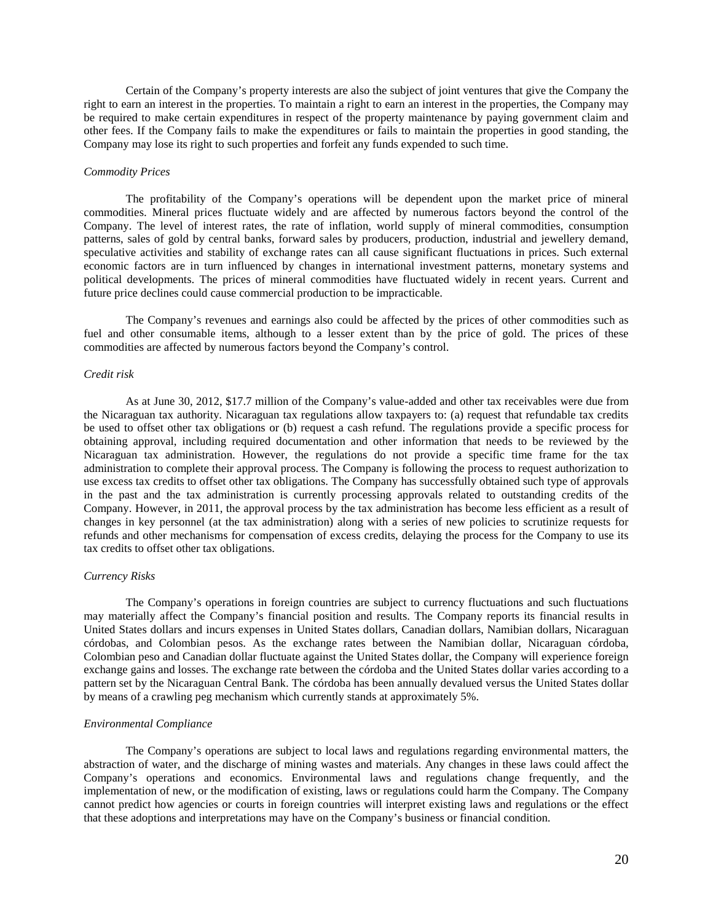Certain of the Company's property interests are also the subject of joint ventures that give the Company the right to earn an interest in the properties. To maintain a right to earn an interest in the properties, the Company may be required to make certain expenditures in respect of the property maintenance by paying government claim and other fees. If the Company fails to make the expenditures or fails to maintain the properties in good standing, the Company may lose its right to such properties and forfeit any funds expended to such time.

## *Commodity Prices*

The profitability of the Company's operations will be dependent upon the market price of mineral commodities. Mineral prices fluctuate widely and are affected by numerous factors beyond the control of the Company. The level of interest rates, the rate of inflation, world supply of mineral commodities, consumption patterns, sales of gold by central banks, forward sales by producers, production, industrial and jewellery demand, speculative activities and stability of exchange rates can all cause significant fluctuations in prices. Such external economic factors are in turn influenced by changes in international investment patterns, monetary systems and political developments. The prices of mineral commodities have fluctuated widely in recent years. Current and future price declines could cause commercial production to be impracticable.

The Company's revenues and earnings also could be affected by the prices of other commodities such as fuel and other consumable items, although to a lesser extent than by the price of gold. The prices of these commodities are affected by numerous factors beyond the Company's control.

#### *Credit risk*

As at June 30, 2012, \$17.7 million of the Company's value-added and other tax receivables were due from the Nicaraguan tax authority. Nicaraguan tax regulations allow taxpayers to: (a) request that refundable tax credits be used to offset other tax obligations or (b) request a cash refund. The regulations provide a specific process for obtaining approval, including required documentation and other information that needs to be reviewed by the Nicaraguan tax administration. However, the regulations do not provide a specific time frame for the tax administration to complete their approval process. The Company is following the process to request authorization to use excess tax credits to offset other tax obligations. The Company has successfully obtained such type of approvals in the past and the tax administration is currently processing approvals related to outstanding credits of the Company. However, in 2011, the approval process by the tax administration has become less efficient as a result of changes in key personnel (at the tax administration) along with a series of new policies to scrutinize requests for refunds and other mechanisms for compensation of excess credits, delaying the process for the Company to use its tax credits to offset other tax obligations.

# *Currency Risks*

The Company's operations in foreign countries are subject to currency fluctuations and such fluctuations may materially affect the Company's financial position and results. The Company reports its financial results in United States dollars and incurs expenses in United States dollars, Canadian dollars, Namibian dollars, Nicaraguan córdobas, and Colombian pesos. As the exchange rates between the Namibian dollar, Nicaraguan córdoba, Colombian peso and Canadian dollar fluctuate against the United States dollar, the Company will experience foreign exchange gains and losses. The exchange rate between the córdoba and the United States dollar varies according to a pattern set by the Nicaraguan Central Bank. The córdoba has been annually devalued versus the United States dollar by means of a crawling peg mechanism which currently stands at approximately 5%.

# *Environmental Compliance*

The Company's operations are subject to local laws and regulations regarding environmental matters, the abstraction of water, and the discharge of mining wastes and materials. Any changes in these laws could affect the Company's operations and economics. Environmental laws and regulations change frequently, and the implementation of new, or the modification of existing, laws or regulations could harm the Company. The Company cannot predict how agencies or courts in foreign countries will interpret existing laws and regulations or the effect that these adoptions and interpretations may have on the Company's business or financial condition.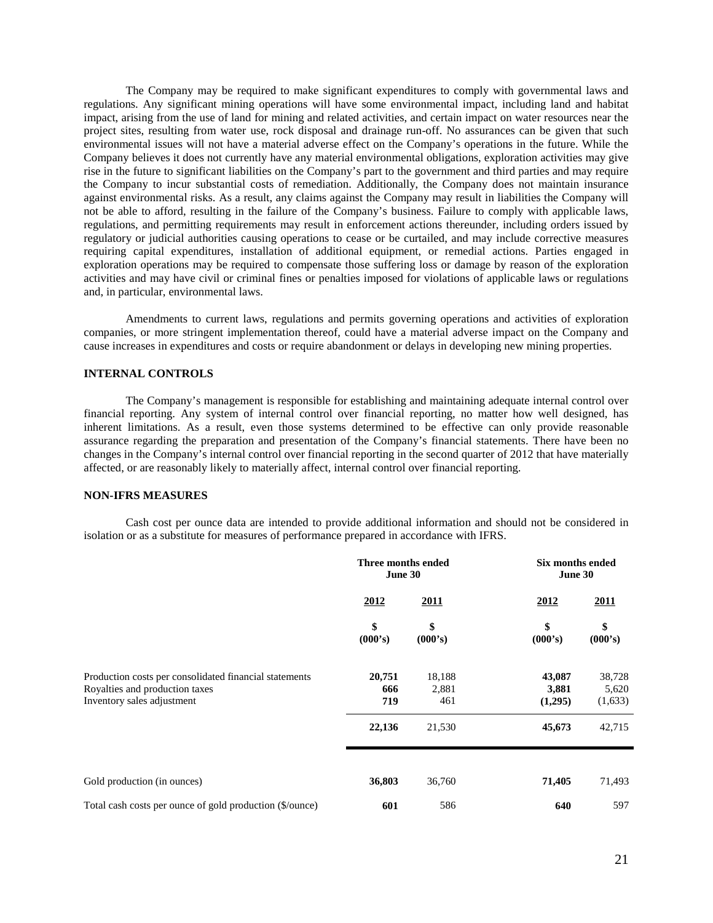The Company may be required to make significant expenditures to comply with governmental laws and regulations. Any significant mining operations will have some environmental impact, including land and habitat impact, arising from the use of land for mining and related activities, and certain impact on water resources near the project sites, resulting from water use, rock disposal and drainage run-off. No assurances can be given that such environmental issues will not have a material adverse effect on the Company's operations in the future. While the Company believes it does not currently have any material environmental obligations, exploration activities may give rise in the future to significant liabilities on the Company's part to the government and third parties and may require the Company to incur substantial costs of remediation. Additionally, the Company does not maintain insurance against environmental risks. As a result, any claims against the Company may result in liabilities the Company will not be able to afford, resulting in the failure of the Company's business. Failure to comply with applicable laws, regulations, and permitting requirements may result in enforcement actions thereunder, including orders issued by regulatory or judicial authorities causing operations to cease or be curtailed, and may include corrective measures requiring capital expenditures, installation of additional equipment, or remedial actions. Parties engaged in exploration operations may be required to compensate those suffering loss or damage by reason of the exploration activities and may have civil or criminal fines or penalties imposed for violations of applicable laws or regulations and, in particular, environmental laws.

Amendments to current laws, regulations and permits governing operations and activities of exploration companies, or more stringent implementation thereof, could have a material adverse impact on the Company and cause increases in expenditures and costs or require abandonment or delays in developing new mining properties.

# **INTERNAL CONTROLS**

The Company's management is responsible for establishing and maintaining adequate internal control over financial reporting. Any system of internal control over financial reporting, no matter how well designed, has inherent limitations. As a result, even those systems determined to be effective can only provide reasonable assurance regarding the preparation and presentation of the Company's financial statements. There have been no changes in the Company's internal control over financial reporting in the second quarter of 2012 that have materially affected, or are reasonably likely to materially affect, internal control over financial reporting.

## **NON-IFRS MEASURES**

Cash cost per ounce data are intended to provide additional information and should not be considered in isolation or as a substitute for measures of performance prepared in accordance with IFRS.

|                                                                                                                        | Three months ended<br>June 30 |                        | Six months ended<br>June 30 |                            |  |
|------------------------------------------------------------------------------------------------------------------------|-------------------------------|------------------------|-----------------------------|----------------------------|--|
|                                                                                                                        | 2012                          | 2011                   | 2012                        | <u>2011</u>                |  |
|                                                                                                                        | \$<br>(000's)                 | \$<br>(000's)          | \$<br>(000's)               | \$<br>(000's)              |  |
| Production costs per consolidated financial statements<br>Royalties and production taxes<br>Inventory sales adjustment | 20,751<br>666<br>719          | 18,188<br>2,881<br>461 | 43,087<br>3,881<br>(1,295)  | 38,728<br>5,620<br>(1,633) |  |
|                                                                                                                        | 22,136                        | 21,530                 | 45,673                      | 42,715                     |  |
| Gold production (in ounces)                                                                                            | 36,803                        | 36,760                 | 71,405                      | 71,493                     |  |
| Total cash costs per ounce of gold production (\$/ounce)                                                               | 601                           | 586                    | 640                         | 597                        |  |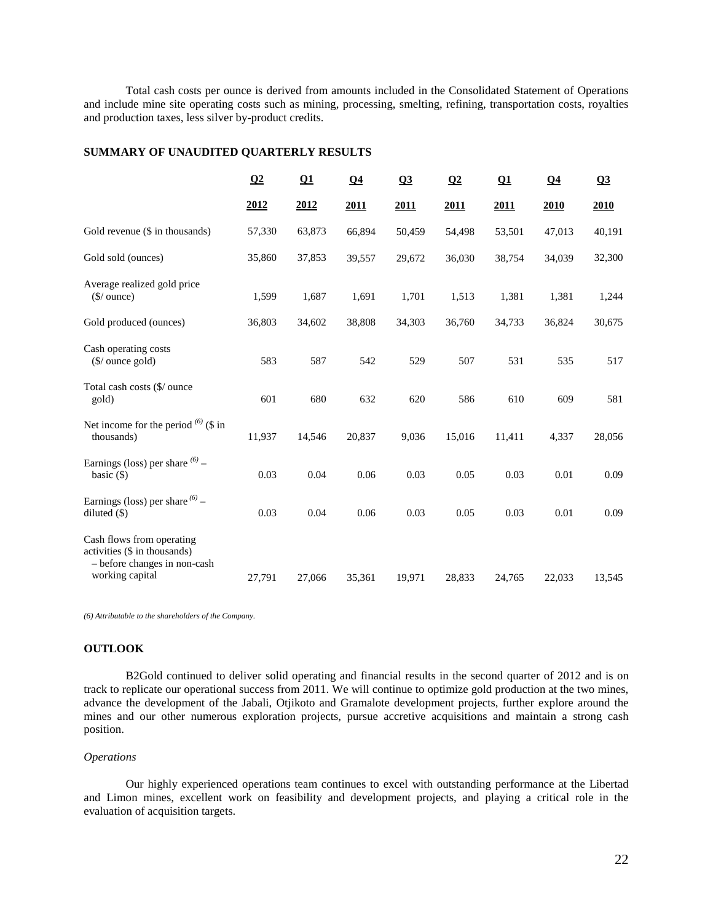Total cash costs per ounce is derived from amounts included in the Consolidated Statement of Operations and include mine site operating costs such as mining, processing, smelting, refining, transportation costs, royalties and production taxes, less silver by-product credits.

|                                                                                                              | $\Omega$ | $\Omega$ 1 | $\Omega$ | Q3     | $\Omega$ | $\Omega$ 1 | Q <sub>4</sub> | Q3     |
|--------------------------------------------------------------------------------------------------------------|----------|------------|----------|--------|----------|------------|----------------|--------|
|                                                                                                              | 2012     | 2012       | 2011     | 2011   | 2011     | 2011       | 2010           | 2010   |
| Gold revenue (\$ in thousands)                                                                               | 57,330   | 63,873     | 66,894   | 50,459 | 54,498   | 53,501     | 47,013         | 40,191 |
| Gold sold (ounces)                                                                                           | 35,860   | 37,853     | 39,557   | 29,672 | 36,030   | 38,754     | 34,039         | 32,300 |
| Average realized gold price<br>$$/$ ounce)                                                                   | 1,599    | 1,687      | 1,691    | 1,701  | 1,513    | 1,381      | 1,381          | 1,244  |
| Gold produced (ounces)                                                                                       | 36,803   | 34,602     | 38,808   | 34,303 | 36,760   | 34,733     | 36,824         | 30,675 |
| Cash operating costs<br>$(\frac{\sqrt{2}}{2})$ ounce gold)                                                   | 583      | 587        | 542      | 529    | 507      | 531        | 535            | 517    |
| Total cash costs (\$/ ounce<br>gold)                                                                         | 601      | 680        | 632      | 620    | 586      | 610        | 609            | 581    |
| Net income for the period $^{(6)}$ (\$ in<br>thousands)                                                      | 11,937   | 14,546     | 20,837   | 9,036  | 15,016   | 11,411     | 4,337          | 28,056 |
| Earnings (loss) per share $(6)$ -<br>basic $($ )                                                             | 0.03     | 0.04       | 0.06     | 0.03   | 0.05     | 0.03       | 0.01           | 0.09   |
| Earnings (loss) per share $^{(6)}$ -<br>diluted $(\$)$                                                       | 0.03     | 0.04       | 0.06     | 0.03   | 0.05     | 0.03       | 0.01           | 0.09   |
| Cash flows from operating<br>activities (\$ in thousands)<br>- before changes in non-cash<br>working capital | 27,791   | 27,066     | 35,361   | 19,971 | 28,833   | 24,765     | 22,033         | 13,545 |

*(6) Attributable to the shareholders of the Company.* 

### **OUTLOOK**

B2Gold continued to deliver solid operating and financial results in the second quarter of 2012 and is on track to replicate our operational success from 2011. We will continue to optimize gold production at the two mines, advance the development of the Jabali, Otjikoto and Gramalote development projects, further explore around the mines and our other numerous exploration projects, pursue accretive acquisitions and maintain a strong cash position.

# *Operations*

Our highly experienced operations team continues to excel with outstanding performance at the Libertad and Limon mines, excellent work on feasibility and development projects, and playing a critical role in the evaluation of acquisition targets.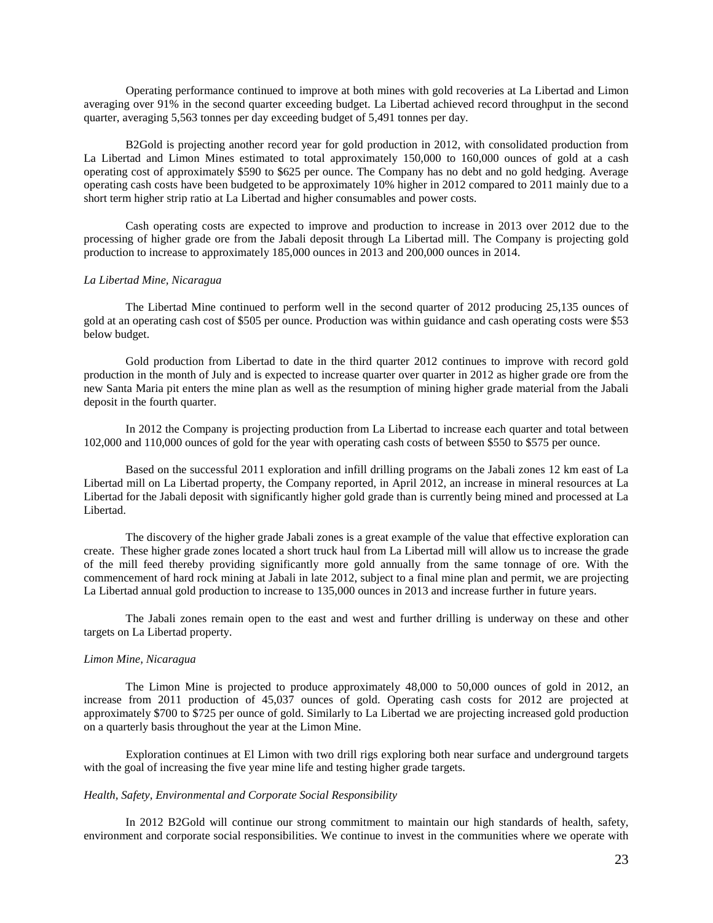Operating performance continued to improve at both mines with gold recoveries at La Libertad and Limon averaging over 91% in the second quarter exceeding budget. La Libertad achieved record throughput in the second quarter, averaging 5,563 tonnes per day exceeding budget of 5,491 tonnes per day.

B2Gold is projecting another record year for gold production in 2012, with consolidated production from La Libertad and Limon Mines estimated to total approximately 150,000 to 160,000 ounces of gold at a cash operating cost of approximately \$590 to \$625 per ounce. The Company has no debt and no gold hedging. Average operating cash costs have been budgeted to be approximately 10% higher in 2012 compared to 2011 mainly due to a short term higher strip ratio at La Libertad and higher consumables and power costs.

Cash operating costs are expected to improve and production to increase in 2013 over 2012 due to the processing of higher grade ore from the Jabali deposit through La Libertad mill. The Company is projecting gold production to increase to approximately 185,000 ounces in 2013 and 200,000 ounces in 2014.

### *La Libertad Mine, Nicaragua*

The Libertad Mine continued to perform well in the second quarter of 2012 producing 25,135 ounces of gold at an operating cash cost of \$505 per ounce. Production was within guidance and cash operating costs were \$53 below budget.

Gold production from Libertad to date in the third quarter 2012 continues to improve with record gold production in the month of July and is expected to increase quarter over quarter in 2012 as higher grade ore from the new Santa Maria pit enters the mine plan as well as the resumption of mining higher grade material from the Jabali deposit in the fourth quarter.

In 2012 the Company is projecting production from La Libertad to increase each quarter and total between 102,000 and 110,000 ounces of gold for the year with operating cash costs of between \$550 to \$575 per ounce.

Based on the successful 2011 exploration and infill drilling programs on the Jabali zones 12 km east of La Libertad mill on La Libertad property, the Company reported, in April 2012, an increase in mineral resources at La Libertad for the Jabali deposit with significantly higher gold grade than is currently being mined and processed at La Libertad.

The discovery of the higher grade Jabali zones is a great example of the value that effective exploration can create. These higher grade zones located a short truck haul from La Libertad mill will allow us to increase the grade of the mill feed thereby providing significantly more gold annually from the same tonnage of ore. With the commencement of hard rock mining at Jabali in late 2012, subject to a final mine plan and permit, we are projecting La Libertad annual gold production to increase to 135,000 ounces in 2013 and increase further in future years.

The Jabali zones remain open to the east and west and further drilling is underway on these and other targets on La Libertad property.

## *Limon Mine, Nicaragua*

The Limon Mine is projected to produce approximately 48,000 to 50,000 ounces of gold in 2012, an increase from 2011 production of 45,037 ounces of gold. Operating cash costs for 2012 are projected at approximately \$700 to \$725 per ounce of gold. Similarly to La Libertad we are projecting increased gold production on a quarterly basis throughout the year at the Limon Mine.

Exploration continues at El Limon with two drill rigs exploring both near surface and underground targets with the goal of increasing the five year mine life and testing higher grade targets.

## *Health, Safety, Environmental and Corporate Social Responsibility*

In 2012 B2Gold will continue our strong commitment to maintain our high standards of health, safety, environment and corporate social responsibilities. We continue to invest in the communities where we operate with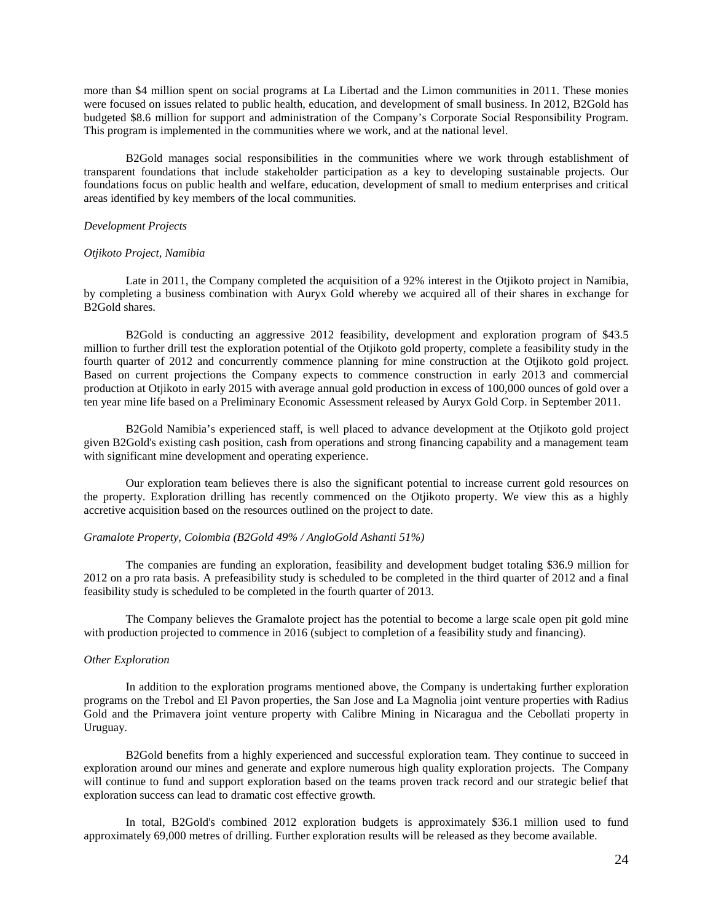more than \$4 million spent on social programs at La Libertad and the Limon communities in 2011. These monies were focused on issues related to public health, education, and development of small business. In 2012, B2Gold has budgeted \$8.6 million for support and administration of the Company's Corporate Social Responsibility Program. This program is implemented in the communities where we work, and at the national level.

B2Gold manages social responsibilities in the communities where we work through establishment of transparent foundations that include stakeholder participation as a key to developing sustainable projects. Our foundations focus on public health and welfare, education, development of small to medium enterprises and critical areas identified by key members of the local communities.

### *Development Projects*

### *Otjikoto Project, Namibia*

Late in 2011, the Company completed the acquisition of a 92% interest in the Otjikoto project in Namibia, by completing a business combination with Auryx Gold whereby we acquired all of their shares in exchange for B2Gold shares.

B2Gold is conducting an aggressive 2012 feasibility, development and exploration program of \$43.5 million to further drill test the exploration potential of the Otjikoto gold property, complete a feasibility study in the fourth quarter of 2012 and concurrently commence planning for mine construction at the Otjikoto gold project. Based on current projections the Company expects to commence construction in early 2013 and commercial production at Otjikoto in early 2015 with average annual gold production in excess of 100,000 ounces of gold over a ten year mine life based on a Preliminary Economic Assessment released by Auryx Gold Corp. in September 2011.

B2Gold Namibia's experienced staff, is well placed to advance development at the Otjikoto gold project given B2Gold's existing cash position, cash from operations and strong financing capability and a management team with significant mine development and operating experience.

Our exploration team believes there is also the significant potential to increase current gold resources on the property. Exploration drilling has recently commenced on the Otjikoto property. We view this as a highly accretive acquisition based on the resources outlined on the project to date.

# *Gramalote Property, Colombia (B2Gold 49% / AngloGold Ashanti 51%)*

The companies are funding an exploration, feasibility and development budget totaling \$36.9 million for 2012 on a pro rata basis. A prefeasibility study is scheduled to be completed in the third quarter of 2012 and a final feasibility study is scheduled to be completed in the fourth quarter of 2013.

The Company believes the Gramalote project has the potential to become a large scale open pit gold mine with production projected to commence in 2016 (subject to completion of a feasibility study and financing).

# *Other Exploration*

In addition to the exploration programs mentioned above, the Company is undertaking further exploration programs on the Trebol and El Pavon properties, the San Jose and La Magnolia joint venture properties with Radius Gold and the Primavera joint venture property with Calibre Mining in Nicaragua and the Cebollati property in Uruguay.

B2Gold benefits from a highly experienced and successful exploration team. They continue to succeed in exploration around our mines and generate and explore numerous high quality exploration projects. The Company will continue to fund and support exploration based on the teams proven track record and our strategic belief that exploration success can lead to dramatic cost effective growth.

In total, B2Gold's combined 2012 exploration budgets is approximately \$36.1 million used to fund approximately 69,000 metres of drilling. Further exploration results will be released as they become available.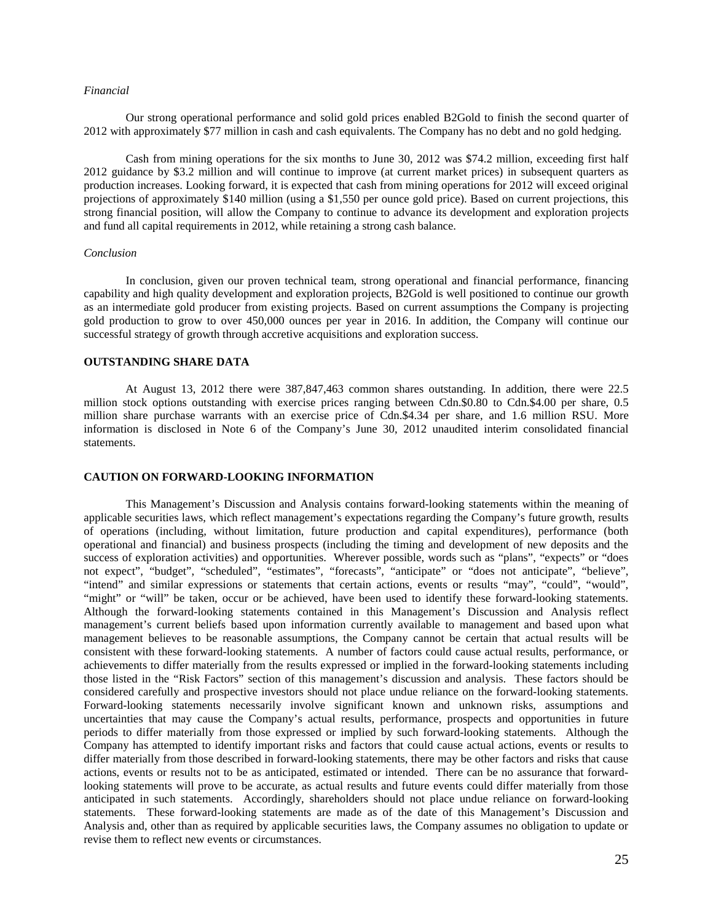#### *Financial*

Our strong operational performance and solid gold prices enabled B2Gold to finish the second quarter of 2012 with approximately \$77 million in cash and cash equivalents. The Company has no debt and no gold hedging.

Cash from mining operations for the six months to June 30, 2012 was \$74.2 million, exceeding first half 2012 guidance by \$3.2 million and will continue to improve (at current market prices) in subsequent quarters as production increases. Looking forward, it is expected that cash from mining operations for 2012 will exceed original projections of approximately \$140 million (using a \$1,550 per ounce gold price). Based on current projections, this strong financial position, will allow the Company to continue to advance its development and exploration projects and fund all capital requirements in 2012, while retaining a strong cash balance.

### *Conclusion*

In conclusion, given our proven technical team, strong operational and financial performance, financing capability and high quality development and exploration projects, B2Gold is well positioned to continue our growth as an intermediate gold producer from existing projects. Based on current assumptions the Company is projecting gold production to grow to over 450,000 ounces per year in 2016. In addition, the Company will continue our successful strategy of growth through accretive acquisitions and exploration success.

# **OUTSTANDING SHARE DATA**

At August 13, 2012 there were 387,847,463 common shares outstanding. In addition, there were 22.5 million stock options outstanding with exercise prices ranging between Cdn.\$0.80 to Cdn.\$4.00 per share, 0.5 million share purchase warrants with an exercise price of Cdn.\$4.34 per share, and 1.6 million RSU. More information is disclosed in Note 6 of the Company's June 30, 2012 unaudited interim consolidated financial statements.

#### **CAUTION ON FORWARD-LOOKING INFORMATION**

This Management's Discussion and Analysis contains forward-looking statements within the meaning of applicable securities laws, which reflect management's expectations regarding the Company's future growth, results of operations (including, without limitation, future production and capital expenditures), performance (both operational and financial) and business prospects (including the timing and development of new deposits and the success of exploration activities) and opportunities. Wherever possible, words such as "plans", "expects" or "does not expect", "budget", "scheduled", "estimates", "forecasts", "anticipate" or "does not anticipate", "believe", "intend" and similar expressions or statements that certain actions, events or results "may", "could", "would", "might" or "will" be taken, occur or be achieved, have been used to identify these forward-looking statements. Although the forward-looking statements contained in this Management's Discussion and Analysis reflect management's current beliefs based upon information currently available to management and based upon what management believes to be reasonable assumptions, the Company cannot be certain that actual results will be consistent with these forward-looking statements. A number of factors could cause actual results, performance, or achievements to differ materially from the results expressed or implied in the forward-looking statements including those listed in the "Risk Factors" section of this management's discussion and analysis. These factors should be considered carefully and prospective investors should not place undue reliance on the forward-looking statements. Forward-looking statements necessarily involve significant known and unknown risks, assumptions and uncertainties that may cause the Company's actual results, performance, prospects and opportunities in future periods to differ materially from those expressed or implied by such forward-looking statements. Although the Company has attempted to identify important risks and factors that could cause actual actions, events or results to differ materially from those described in forward-looking statements, there may be other factors and risks that cause actions, events or results not to be as anticipated, estimated or intended. There can be no assurance that forwardlooking statements will prove to be accurate, as actual results and future events could differ materially from those anticipated in such statements. Accordingly, shareholders should not place undue reliance on forward-looking statements. These forward-looking statements are made as of the date of this Management's Discussion and Analysis and, other than as required by applicable securities laws, the Company assumes no obligation to update or revise them to reflect new events or circumstances.